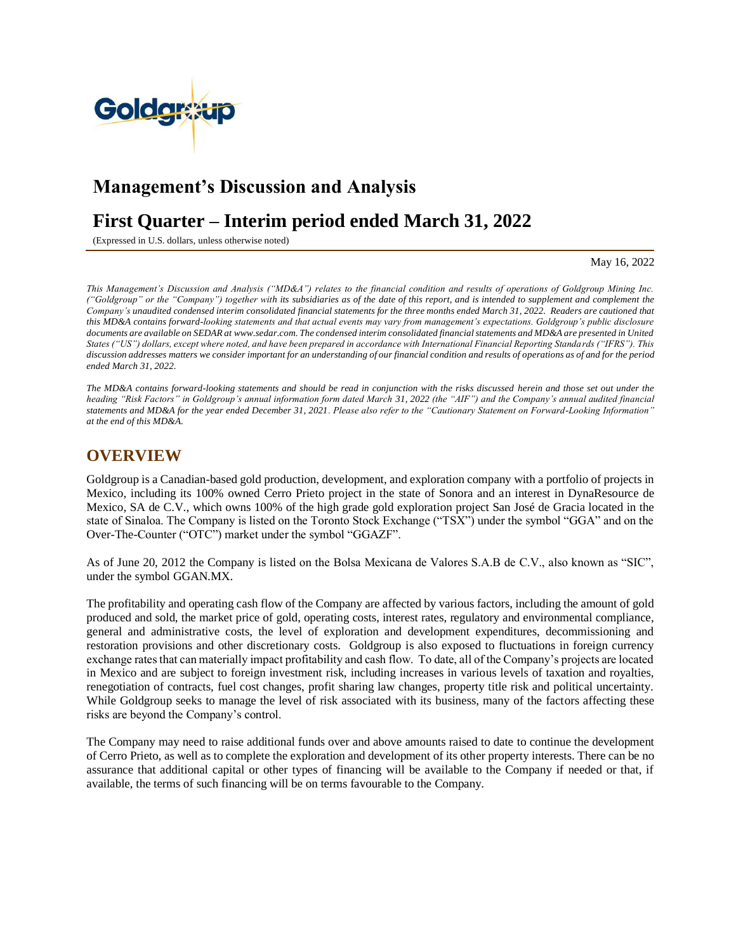

# **Management's Discussion and Analysis**

# **First Quarter – Interim period ended March 31, 2022**

(Expressed in U.S. dollars, unless otherwise noted)

May 16, 2022

*This Management's Discussion and Analysis ("MD&A") relates to the financial condition and results of operations of Goldgroup Mining Inc. ("Goldgroup" or the "Company") together with its subsidiaries as of the date of this report, and is intended to supplement and complement the Company's unaudited condensed interim consolidated financial statements for the three months ended March 31, 2022. Readers are cautioned that this MD&A contains forward-looking statements and that actual events may vary from management's expectations. Goldgroup's public disclosure documents are available on SEDAR at [www.sedar.com.](http://www.sedar.com/) The condensed interim consolidated financial statements and MD&A are presented in United States ("US") dollars, except where noted, and have been prepared in accordance with International Financial Reporting Standards ("IFRS"). This discussion addresses matters we consider important for an understanding of our financial condition and results of operations as of and for the period ended March 31, 2022.*

*The MD&A contains forward-looking statements and should be read in conjunction with the risks discussed herein and those set out under the heading "Risk Factors" in Goldgroup's annual information form dated March 31, 2022 (the "AIF") and the Company's annual audited financial statements and MD&A for the year ended December 31, 2021. Please also refer to the "Cautionary Statement on Forward-Looking Information" at the end of this MD&A.*

# **OVERVIEW**

Goldgroup is a Canadian-based gold production, development, and exploration company with a portfolio of projects in Mexico, including its 100% owned Cerro Prieto project in the state of Sonora and an interest in DynaResource de Mexico, SA de C.V., which owns 100% of the high grade gold exploration project San José de Gracia located in the state of Sinaloa. The Company is listed on the Toronto Stock Exchange ("TSX") under the symbol "GGA" and on the Over-The-Counter ("OTC") market under the symbol "GGAZF".

As of June 20, 2012 the Company is listed on the Bolsa Mexicana de Valores S.A.B de C.V., also known as "SIC", under the symbol GGAN.MX.

The profitability and operating cash flow of the Company are affected by various factors, including the amount of gold produced and sold, the market price of gold, operating costs, interest rates, regulatory and environmental compliance, general and administrative costs, the level of exploration and development expenditures, decommissioning and restoration provisions and other discretionary costs. Goldgroup is also exposed to fluctuations in foreign currency exchange rates that can materially impact profitability and cash flow. To date, all of the Company's projects are located in Mexico and are subject to foreign investment risk, including increases in various levels of taxation and royalties, renegotiation of contracts, fuel cost changes, profit sharing law changes, property title risk and political uncertainty. While Goldgroup seeks to manage the level of risk associated with its business, many of the factors affecting these risks are beyond the Company's control.

The Company may need to raise additional funds over and above amounts raised to date to continue the development of Cerro Prieto, as well as to complete the exploration and development of its other property interests. There can be no assurance that additional capital or other types of financing will be available to the Company if needed or that, if available, the terms of such financing will be on terms favourable to the Company.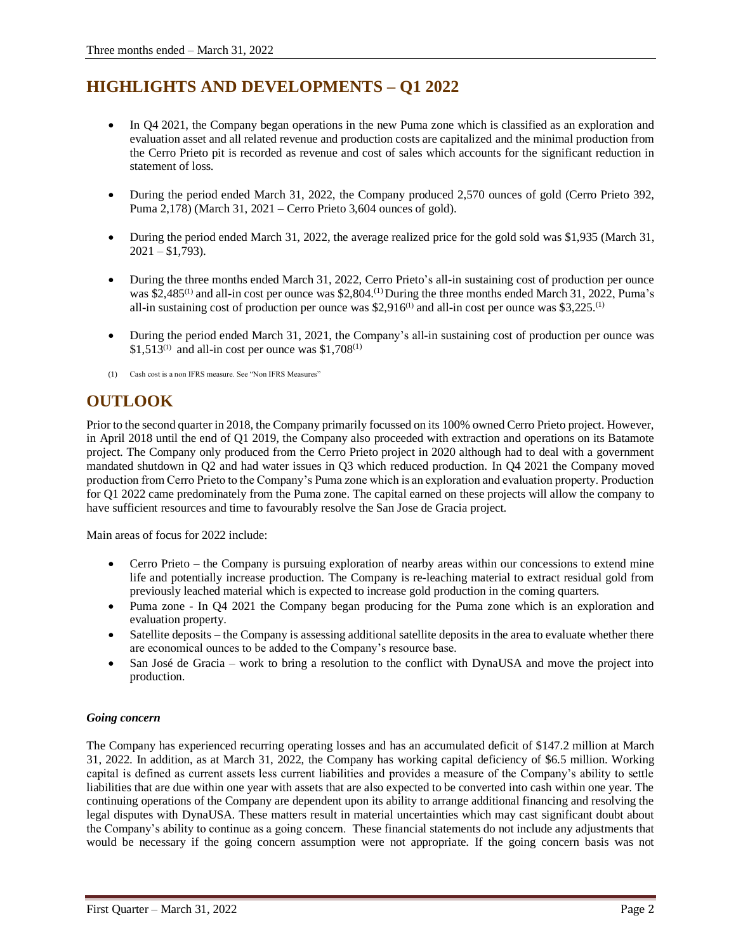# **HIGHLIGHTS AND DEVELOPMENTS – Q1 2022**

- In Q4 2021, the Company began operations in the new Puma zone which is classified as an exploration and evaluation asset and all related revenue and production costs are capitalized and the minimal production from the Cerro Prieto pit is recorded as revenue and cost of sales which accounts for the significant reduction in statement of loss.
- During the period ended March 31, 2022, the Company produced 2,570 ounces of gold (Cerro Prieto 392, Puma 2,178) (March 31, 2021 – Cerro Prieto 3,604 ounces of gold).
- During the period ended March 31, 2022, the average realized price for the gold sold was \$1,935 (March 31,  $2021 - $1,793$ ).
- During the three months ended March 31, 2022, Cerro Prieto's all-in sustaining cost of production per ounce was \$2,485<sup>(1)</sup> and all-in cost per ounce was \$2,804.<sup>(1)</sup> During the three months ended March 31, 2022, Puma's all-in sustaining cost of production per ounce was \$2,916<sup>(1)</sup> and all-in cost per ounce was \$3,225.<sup>(1)</sup>
- During the period ended March 31, 2021, the Company's all-in sustaining cost of production per ounce was  $$1,513^{(1)}$  and all-in cost per ounce was  $$1,708^{(1)}$
- (1) Cash cost is a non IFRS measure. See "Non IFRS Measures"

# **OUTLOOK**

Prior to the second quarter in 2018, the Company primarily focussed on its 100% owned Cerro Prieto project. However, in April 2018 until the end of Q1 2019, the Company also proceeded with extraction and operations on its Batamote project. The Company only produced from the Cerro Prieto project in 2020 although had to deal with a government mandated shutdown in Q2 and had water issues in Q3 which reduced production. In Q4 2021 the Company moved production from Cerro Prieto to the Company's Puma zone which is an exploration and evaluation property. Production for Q1 2022 came predominately from the Puma zone. The capital earned on these projects will allow the company to have sufficient resources and time to favourably resolve the San Jose de Gracia project.

Main areas of focus for 2022 include:

- Cerro Prieto the Company is pursuing exploration of nearby areas within our concessions to extend mine life and potentially increase production. The Company is re-leaching material to extract residual gold from previously leached material which is expected to increase gold production in the coming quarters.
- Puma zone In Q4 2021 the Company began producing for the Puma zone which is an exploration and evaluation property.
- Satellite deposits the Company is assessing additional satellite deposits in the area to evaluate whether there are economical ounces to be added to the Company's resource base.
- San José de Gracia work to bring a resolution to the conflict with DynaUSA and move the project into production.

# *Going concern*

The Company has experienced recurring operating losses and has an accumulated deficit of \$147.2 million at March 31, 2022. In addition, as at March 31, 2022, the Company has working capital deficiency of \$6.5 million. Working capital is defined as current assets less current liabilities and provides a measure of the Company's ability to settle liabilities that are due within one year with assets that are also expected to be converted into cash within one year. The continuing operations of the Company are dependent upon its ability to arrange additional financing and resolving the legal disputes with DynaUSA. These matters result in material uncertainties which may cast significant doubt about the Company's ability to continue as a going concern. These financial statements do not include any adjustments that would be necessary if the going concern assumption were not appropriate. If the going concern basis was not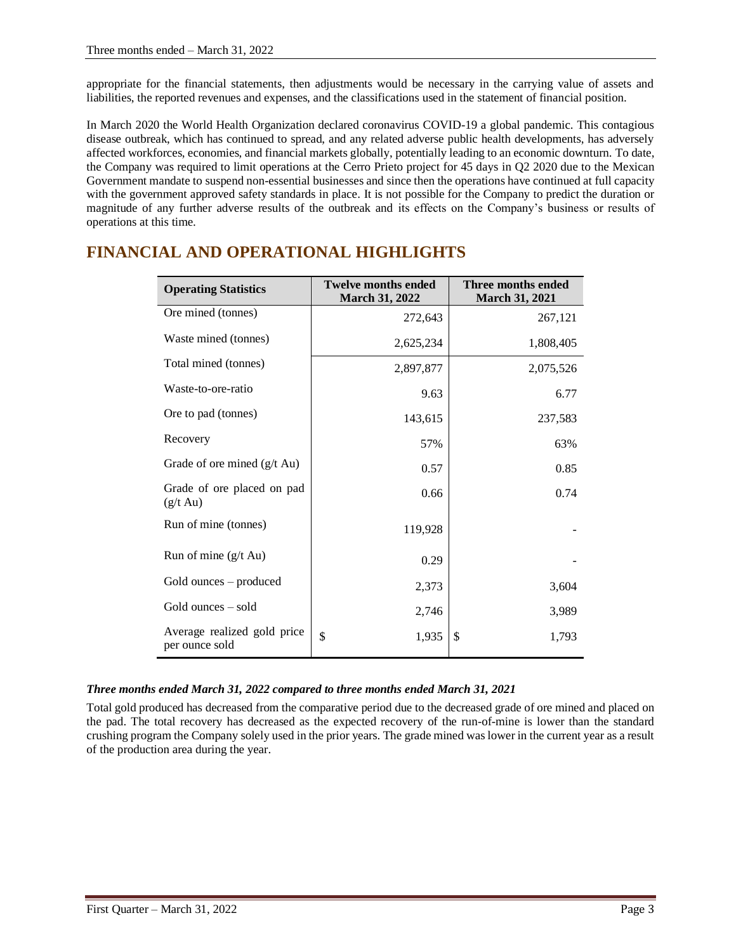appropriate for the financial statements, then adjustments would be necessary in the carrying value of assets and liabilities, the reported revenues and expenses, and the classifications used in the statement of financial position.

In March 2020 the World Health Organization declared coronavirus COVID-19 a global pandemic. This contagious disease outbreak, which has continued to spread, and any related adverse public health developments, has adversely affected workforces, economies, and financial markets globally, potentially leading to an economic downturn. To date, the Company was required to limit operations at the Cerro Prieto project for 45 days in Q2 2020 due to the Mexican Government mandate to suspend non-essential businesses and since then the operations have continued at full capacity with the government approved safety standards in place. It is not possible for the Company to predict the duration or magnitude of any further adverse results of the outbreak and its effects on the Company's business or results of operations at this time.

| <b>Operating Statistics</b>                      | <b>Twelve months ended</b><br>March 31, 2022 | Three months ended<br><b>March 31, 2021</b> |
|--------------------------------------------------|----------------------------------------------|---------------------------------------------|
| Ore mined (tonnes)                               | 272,643                                      | 267,121                                     |
| Waste mined (tonnes)                             | 2,625,234                                    | 1,808,405                                   |
| Total mined (tonnes)                             | 2,897,877                                    | 2,075,526                                   |
| Waste-to-ore-ratio                               | 9.63                                         | 6.77                                        |
| Ore to pad (tonnes)                              | 143,615                                      | 237,583                                     |
| Recovery                                         | 57%                                          | 63%                                         |
| Grade of ore mined $(g/t \text{ Au})$            | 0.57                                         | 0.85                                        |
| Grade of ore placed on pad<br>$(g/t \text{ Au})$ | 0.66                                         | 0.74                                        |
| Run of mine (tonnes)                             | 119,928                                      |                                             |
| Run of mine (g/t Au)                             | 0.29                                         |                                             |
| Gold ounces – produced                           | 2,373                                        | 3,604                                       |
| Gold ounces – sold                               | 2,746                                        | 3,989                                       |
| Average realized gold price<br>per ounce sold    | \$<br>1,935                                  | \$<br>1,793                                 |

# **FINANCIAL AND OPERATIONAL HIGHLIGHTS**

# *Three months ended March 31, 2022 compared to three months ended March 31, 2021*

Total gold produced has decreased from the comparative period due to the decreased grade of ore mined and placed on the pad. The total recovery has decreased as the expected recovery of the run-of-mine is lower than the standard crushing program the Company solely used in the prior years. The grade mined was lower in the current year as a result of the production area during the year.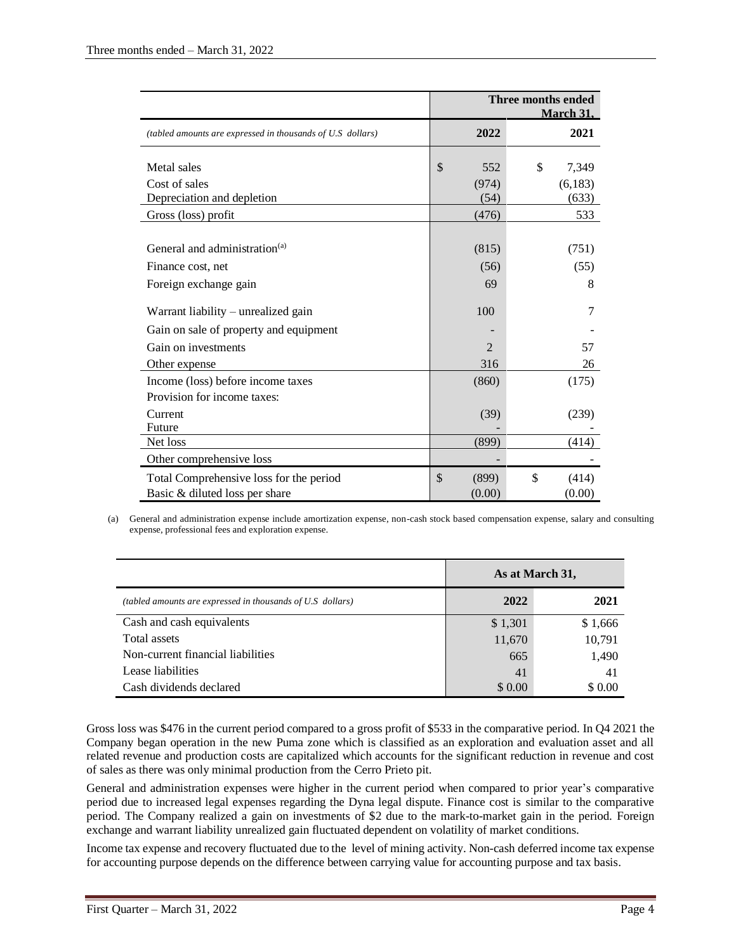|                                                            | Three months ended<br><b>March 31,</b> |                |             |  |  |
|------------------------------------------------------------|----------------------------------------|----------------|-------------|--|--|
| (tabled amounts are expressed in thousands of U.S dollars) |                                        | 2022           | 2021        |  |  |
| Metal sales                                                | \$                                     | 552            | \$<br>7,349 |  |  |
| Cost of sales                                              |                                        | (974)          | (6,183)     |  |  |
| Depreciation and depletion                                 |                                        | (54)           | (633)       |  |  |
| Gross (loss) profit                                        |                                        | (476)          | 533         |  |  |
|                                                            |                                        |                |             |  |  |
| General and administration <sup>(a)</sup>                  |                                        | (815)          | (751)       |  |  |
| Finance cost, net                                          |                                        | (56)           | (55)        |  |  |
| Foreign exchange gain                                      |                                        | 69             | 8           |  |  |
| Warrant liability $-$ unrealized gain                      |                                        | 100            | 7           |  |  |
| Gain on sale of property and equipment                     |                                        |                |             |  |  |
| Gain on investments                                        |                                        | $\overline{2}$ | 57          |  |  |
| Other expense                                              |                                        | 316            | 26          |  |  |
| Income (loss) before income taxes                          |                                        | (860)          | (175)       |  |  |
| Provision for income taxes:                                |                                        |                |             |  |  |
| Current                                                    |                                        | (39)           | (239)       |  |  |
| Future                                                     |                                        |                |             |  |  |
| Net loss                                                   |                                        | (899)          | (414)       |  |  |
| Other comprehensive loss                                   |                                        |                |             |  |  |
| Total Comprehensive loss for the period                    | \$                                     | (899)          | \$<br>(414) |  |  |
| Basic & diluted loss per share                             |                                        | (0.00)         | (0.00)      |  |  |

(a) General and administration expense include amortization expense, non-cash stock based compensation expense, salary and consulting expense, professional fees and exploration expense.

|                                                            | As at March 31, |         |  |
|------------------------------------------------------------|-----------------|---------|--|
| (tabled amounts are expressed in thousands of U.S dollars) | 2022            | 2021    |  |
| Cash and cash equivalents                                  | \$1,301         | \$1,666 |  |
| Total assets                                               | 11,670          | 10,791  |  |
| Non-current financial liabilities                          | 665             | 1,490   |  |
| Lease liabilities                                          | 41              | 41      |  |
| Cash dividends declared                                    | \$ 0.00         | \$0.00  |  |

Gross loss was \$476 in the current period compared to a gross profit of \$533 in the comparative period. In Q4 2021 the Company began operation in the new Puma zone which is classified as an exploration and evaluation asset and all related revenue and production costs are capitalized which accounts for the significant reduction in revenue and cost of sales as there was only minimal production from the Cerro Prieto pit.

General and administration expenses were higher in the current period when compared to prior year's comparative period due to increased legal expenses regarding the Dyna legal dispute. Finance cost is similar to the comparative period. The Company realized a gain on investments of \$2 due to the mark-to-market gain in the period. Foreign exchange and warrant liability unrealized gain fluctuated dependent on volatility of market conditions.

Income tax expense and recovery fluctuated due to the level of mining activity. Non-cash deferred income tax expense for accounting purpose depends on the difference between carrying value for accounting purpose and tax basis.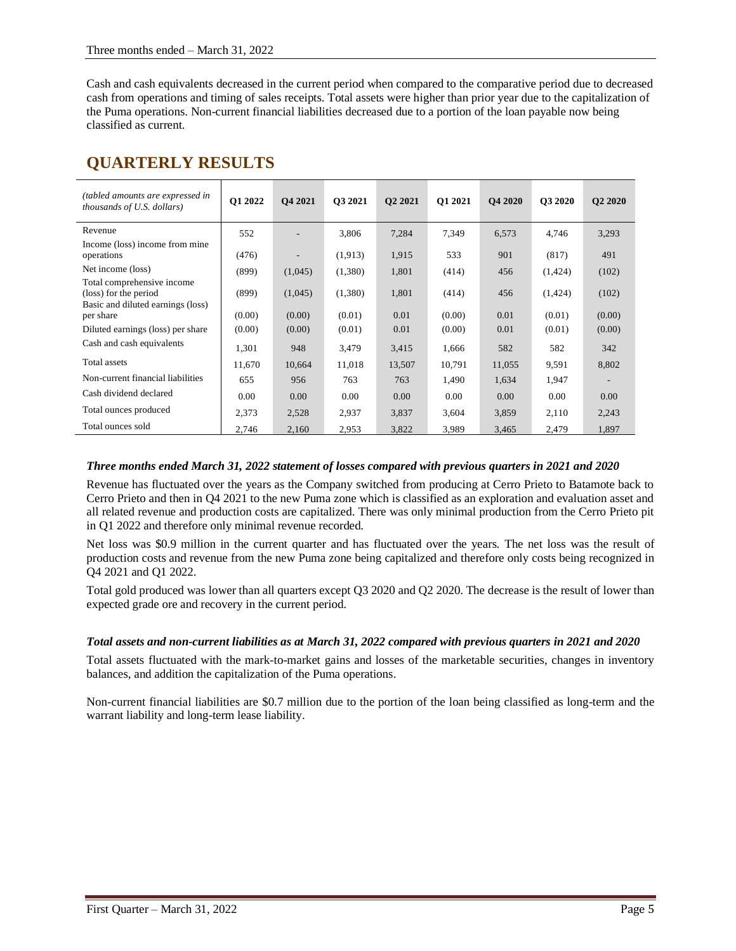Cash and cash equivalents decreased in the current period when compared to the comparative period due to decreased cash from operations and timing of sales receipts. Total assets were higher than prior year due to the capitalization of the Puma operations. Non-current financial liabilities decreased due to a portion of the loan payable now being classified as current.

# **QUARTERLY RESULTS**

| (tabled amounts are expressed in<br><i>thousands of U.S. dollars</i> )                   | Q1 2022 | Q4 2021                  | Q3 2021 | Q2 2021 | Q1 2021 | <b>O4 2020</b> | <b>O3 2020</b> | <b>Q2 2020</b> |
|------------------------------------------------------------------------------------------|---------|--------------------------|---------|---------|---------|----------------|----------------|----------------|
| Revenue                                                                                  | 552     |                          | 3,806   | 7,284   | 7,349   | 6,573          | 4,746          | 3,293          |
| Income (loss) income from mine<br>operations                                             | (476)   | $\overline{\phantom{a}}$ | (1,913) | 1,915   | 533     | 901            | (817)          | 491            |
| Net income (loss)                                                                        | (899)   | (1,045)                  | (1,380) | 1,801   | (414)   | 456            | (1,424)        | (102)          |
| Total comprehensive income<br>(loss) for the period<br>Basic and diluted earnings (loss) | (899)   | (1,045)                  | (1,380) | 1,801   | (414)   | 456            | (1,424)        | (102)          |
| per share                                                                                | (0.00)  | (0.00)                   | (0.01)  | 0.01    | (0.00)  | 0.01           | (0.01)         | (0.00)         |
| Diluted earnings (loss) per share                                                        | (0.00)  | (0.00)                   | (0.01)  | 0.01    | (0.00)  | 0.01           | (0.01)         | (0.00)         |
| Cash and cash equivalents                                                                | 1,301   | 948                      | 3,479   | 3,415   | 1,666   | 582            | 582            | 342            |
| Total assets                                                                             | 11,670  | 10,664                   | 11,018  | 13,507  | 10,791  | 11,055         | 9,591          | 8,802          |
| Non-current financial liabilities                                                        | 655     | 956                      | 763     | 763     | 1,490   | 1,634          | 1,947          |                |
| Cash dividend declared                                                                   | 0.00    | 0.00                     | 0.00    | 0.00    | 0.00    | 0.00           | 0.00           | 0.00           |
| Total ounces produced                                                                    | 2,373   | 2,528                    | 2,937   | 3,837   | 3,604   | 3,859          | 2,110          | 2,243          |
| Total ounces sold                                                                        | 2,746   | 2,160                    | 2,953   | 3,822   | 3,989   | 3,465          | 2,479          | 1,897          |

### *Three months ended March 31, 2022 statement of losses compared with previous quarters in 2021 and 2020*

Revenue has fluctuated over the years as the Company switched from producing at Cerro Prieto to Batamote back to Cerro Prieto and then in Q4 2021 to the new Puma zone which is classified as an exploration and evaluation asset and all related revenue and production costs are capitalized. There was only minimal production from the Cerro Prieto pit in Q1 2022 and therefore only minimal revenue recorded.

Net loss was \$0.9 million in the current quarter and has fluctuated over the years. The net loss was the result of production costs and revenue from the new Puma zone being capitalized and therefore only costs being recognized in Q4 2021 and Q1 2022.

Total gold produced was lower than all quarters except Q3 2020 and Q2 2020. The decrease is the result of lower than expected grade ore and recovery in the current period.

# *Total assets and non-current liabilities as at March 31, 2022 compared with previous quarters in 2021 and 2020*

Total assets fluctuated with the mark-to-market gains and losses of the marketable securities, changes in inventory balances, and addition the capitalization of the Puma operations.

Non-current financial liabilities are \$0.7 million due to the portion of the loan being classified as long-term and the warrant liability and long-term lease liability.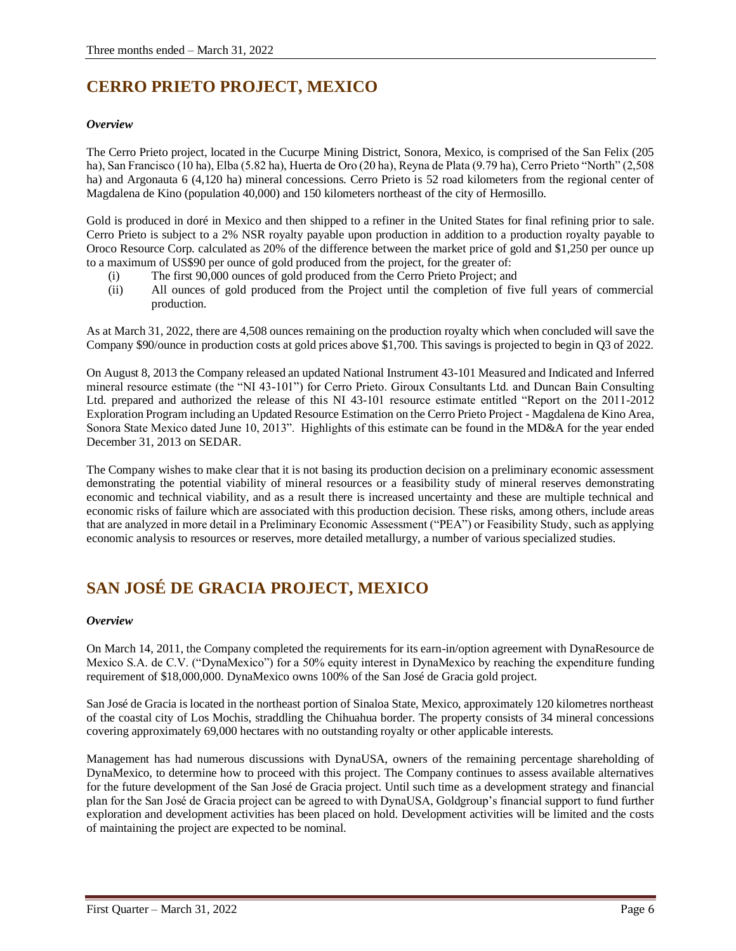# **CERRO PRIETO PROJECT, MEXICO**

# *Overview*

The Cerro Prieto project, located in the Cucurpe Mining District, Sonora, Mexico, is comprised of the San Felix (205 ha), San Francisco (10 ha), Elba (5.82 ha), Huerta de Oro (20 ha), Reyna de Plata (9.79 ha), Cerro Prieto "North" (2,508 ha) and Argonauta 6 (4,120 ha) mineral concessions. Cerro Prieto is 52 road kilometers from the regional center of Magdalena de Kino (population 40,000) and 150 kilometers northeast of the city of Hermosillo.

Gold is produced in doré in Mexico and then shipped to a refiner in the United States for final refining prior to sale. Cerro Prieto is subject to a 2% NSR royalty payable upon production in addition to a production royalty payable to Oroco Resource Corp. calculated as 20% of the difference between the market price of gold and \$1,250 per ounce up to a maximum of US\$90 per ounce of gold produced from the project, for the greater of:

- (i) The first 90,000 ounces of gold produced from the Cerro Prieto Project; and
- (ii) All ounces of gold produced from the Project until the completion of five full years of commercial production.

As at March 31, 2022, there are 4,508 ounces remaining on the production royalty which when concluded will save the Company \$90/ounce in production costs at gold prices above \$1,700. This savings is projected to begin in Q3 of 2022.

On August 8, 2013 the Company released an updated National Instrument 43-101 Measured and Indicated and Inferred mineral resource estimate (the "NI 43-101") for Cerro Prieto. Giroux Consultants Ltd. and Duncan Bain Consulting Ltd. prepared and authorized the release of this NI 43-101 resource estimate entitled "Report on the 2011-2012 Exploration Program including an Updated Resource Estimation on the Cerro Prieto Project - Magdalena de Kino Area, Sonora State Mexico dated June 10, 2013". Highlights of this estimate can be found in the MD&A for the year ended December 31, 2013 on SEDAR.

The Company wishes to make clear that it is not basing its production decision on a preliminary economic assessment demonstrating the potential viability of mineral resources or a feasibility study of mineral reserves demonstrating economic and technical viability, and as a result there is increased uncertainty and these are multiple technical and economic risks of failure which are associated with this production decision. These risks, among others, include areas that are analyzed in more detail in a Preliminary Economic Assessment ("PEA") or Feasibility Study, such as applying economic analysis to resources or reserves, more detailed metallurgy, a number of various specialized studies.

# **SAN JOSÉ DE GRACIA PROJECT, MEXICO**

# *Overview*

On March 14, 2011, the Company completed the requirements for its earn-in/option agreement with DynaResource de Mexico S.A. de C.V. ("DynaMexico") for a 50% equity interest in DynaMexico by reaching the expenditure funding requirement of \$18,000,000. DynaMexico owns 100% of the San José de Gracia gold project.

San José de Gracia is located in the northeast portion of Sinaloa State, Mexico, approximately 120 kilometres northeast of the coastal city of Los Mochis, straddling the Chihuahua border. The property consists of 34 mineral concessions covering approximately 69,000 hectares with no outstanding royalty or other applicable interests.

Management has had numerous discussions with DynaUSA, owners of the remaining percentage shareholding of DynaMexico, to determine how to proceed with this project. The Company continues to assess available alternatives for the future development of the San José de Gracia project. Until such time as a development strategy and financial plan for the San José de Gracia project can be agreed to with DynaUSA, Goldgroup's financial support to fund further exploration and development activities has been placed on hold. Development activities will be limited and the costs of maintaining the project are expected to be nominal.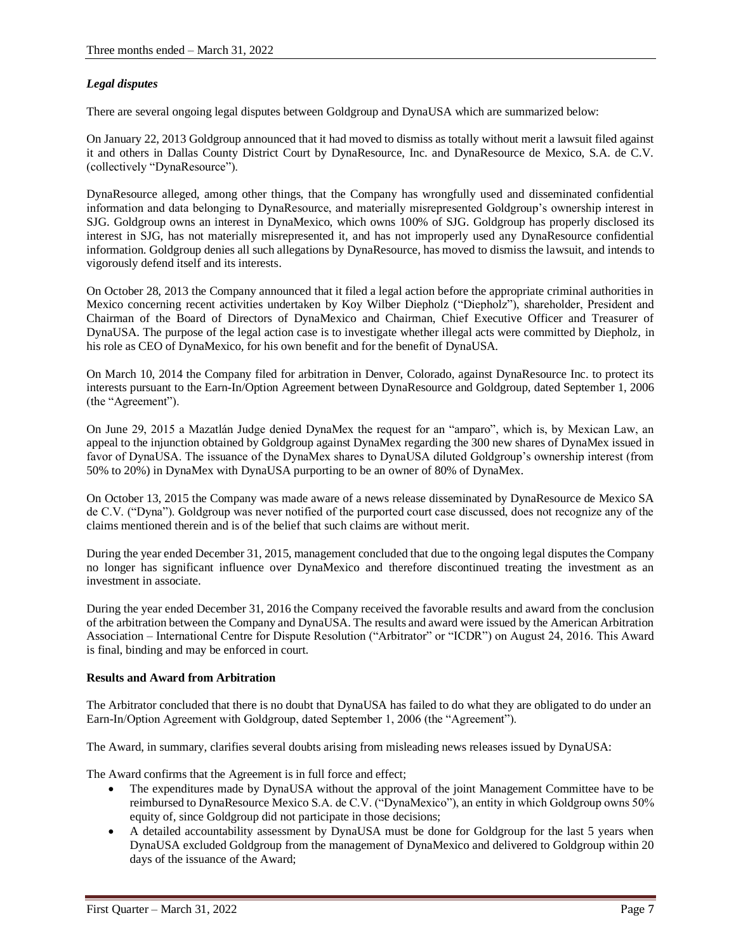# *Legal disputes*

There are several ongoing legal disputes between Goldgroup and DynaUSA which are summarized below:

On January 22, 2013 Goldgroup announced that it had moved to dismiss as totally without merit a lawsuit filed against it and others in Dallas County District Court by DynaResource, Inc. and DynaResource de Mexico, S.A. de C.V. (collectively "DynaResource").

DynaResource alleged, among other things, that the Company has wrongfully used and disseminated confidential information and data belonging to DynaResource, and materially misrepresented Goldgroup's ownership interest in SJG. Goldgroup owns an interest in DynaMexico, which owns 100% of SJG. Goldgroup has properly disclosed its interest in SJG, has not materially misrepresented it, and has not improperly used any DynaResource confidential information. Goldgroup denies all such allegations by DynaResource, has moved to dismiss the lawsuit, and intends to vigorously defend itself and its interests.

On October 28, 2013 the Company announced that it filed a legal action before the appropriate criminal authorities in Mexico concerning recent activities undertaken by Koy Wilber Diepholz ("Diepholz"), shareholder, President and Chairman of the Board of Directors of DynaMexico and Chairman, Chief Executive Officer and Treasurer of DynaUSA. The purpose of the legal action case is to investigate whether illegal acts were committed by Diepholz, in his role as CEO of DynaMexico, for his own benefit and for the benefit of DynaUSA.

On March 10, 2014 the Company filed for arbitration in Denver, Colorado, against DynaResource Inc. to protect its interests pursuant to the Earn-In/Option Agreement between DynaResource and Goldgroup, dated September 1, 2006 (the "Agreement").

On June 29, 2015 a Mazatlán Judge denied DynaMex the request for an "amparo", which is, by Mexican Law, an appeal to the injunction obtained by Goldgroup against DynaMex regarding the 300 new shares of DynaMex issued in favor of DynaUSA. The issuance of the DynaMex shares to DynaUSA diluted Goldgroup's ownership interest (from 50% to 20%) in DynaMex with DynaUSA purporting to be an owner of 80% of DynaMex.

On October 13, 2015 the Company was made aware of a news release disseminated by DynaResource de Mexico SA de C.V. ("Dyna"). Goldgroup was never notified of the purported court case discussed, does not recognize any of the claims mentioned therein and is of the belief that such claims are without merit.

During the year ended December 31, 2015, management concluded that due to the ongoing legal disputes the Company no longer has significant influence over DynaMexico and therefore discontinued treating the investment as an investment in associate.

During the year ended December 31, 2016 the Company received the favorable results and award from the conclusion of the arbitration between the Company and DynaUSA. The results and award were issued by the American Arbitration Association – International Centre for Dispute Resolution ("Arbitrator" or "ICDR") on August 24, 2016. This Award is final, binding and may be enforced in court.

# **Results and Award from Arbitration**

The Arbitrator concluded that there is no doubt that DynaUSA has failed to do what they are obligated to do under an Earn-In/Option Agreement with Goldgroup, dated September 1, 2006 (the "Agreement").

The Award, in summary, clarifies several doubts arising from misleading news releases issued by DynaUSA:

The Award confirms that the Agreement is in full force and effect;

- The expenditures made by DynaUSA without the approval of the joint Management Committee have to be reimbursed to DynaResource Mexico S.A. de C.V. ("DynaMexico"), an entity in which Goldgroup owns 50% equity of, since Goldgroup did not participate in those decisions;
- A detailed accountability assessment by DynaUSA must be done for Goldgroup for the last 5 years when DynaUSA excluded Goldgroup from the management of DynaMexico and delivered to Goldgroup within 20 days of the issuance of the Award;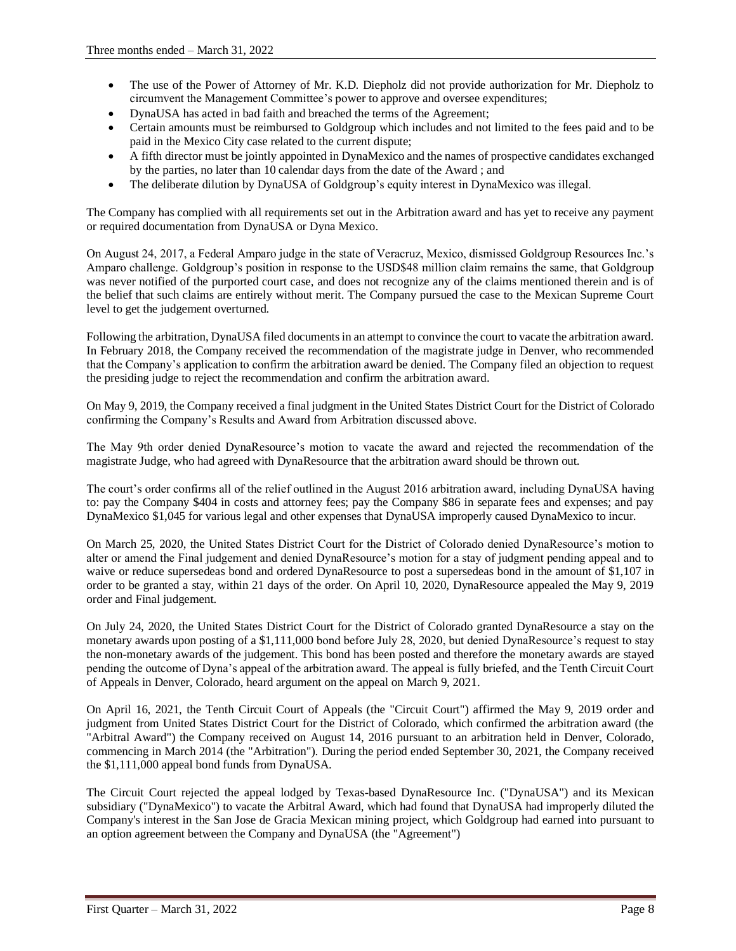- The use of the Power of Attorney of Mr. K.D. Diepholz did not provide authorization for Mr. Diepholz to circumvent the Management Committee's power to approve and oversee expenditures;
- DynaUSA has acted in bad faith and breached the terms of the Agreement;
- Certain amounts must be reimbursed to Goldgroup which includes and not limited to the fees paid and to be paid in the Mexico City case related to the current dispute;
- A fifth director must be jointly appointed in DynaMexico and the names of prospective candidates exchanged by the parties, no later than 10 calendar days from the date of the Award ; and
- The deliberate dilution by DynaUSA of Goldgroup's equity interest in DynaMexico was illegal.

The Company has complied with all requirements set out in the Arbitration award and has yet to receive any payment or required documentation from DynaUSA or Dyna Mexico.

On August 24, 2017, a Federal Amparo judge in the state of Veracruz, Mexico, dismissed Goldgroup Resources Inc.'s Amparo challenge. Goldgroup's position in response to the USD\$48 million claim remains the same, that Goldgroup was never notified of the purported court case, and does not recognize any of the claims mentioned therein and is of the belief that such claims are entirely without merit. The Company pursued the case to the Mexican Supreme Court level to get the judgement overturned.

Following the arbitration, DynaUSA filed documents in an attempt to convince the court to vacate the arbitration award. In February 2018, the Company received the recommendation of the magistrate judge in Denver, who recommended that the Company's application to confirm the arbitration award be denied. The Company filed an objection to request the presiding judge to reject the recommendation and confirm the arbitration award.

On May 9, 2019, the Company received a final judgment in the United States District Court for the District of Colorado confirming the Company's Results and Award from Arbitration discussed above.

The May 9th order denied DynaResource's motion to vacate the award and rejected the recommendation of the magistrate Judge, who had agreed with DynaResource that the arbitration award should be thrown out.

The court's order confirms all of the relief outlined in the August 2016 arbitration award, including DynaUSA having to: pay the Company \$404 in costs and attorney fees; pay the Company \$86 in separate fees and expenses; and pay DynaMexico \$1,045 for various legal and other expenses that DynaUSA improperly caused DynaMexico to incur.

On March 25, 2020, the United States District Court for the District of Colorado denied DynaResource's motion to alter or amend the Final judgement and denied DynaResource's motion for a stay of judgment pending appeal and to waive or reduce supersedeas bond and ordered DynaResource to post a supersedeas bond in the amount of \$1,107 in order to be granted a stay, within 21 days of the order. On April 10, 2020, DynaResource appealed the May 9, 2019 order and Final judgement.

On July 24, 2020, the United States District Court for the District of Colorado granted DynaResource a stay on the monetary awards upon posting of a \$1,111,000 bond before July 28, 2020, but denied DynaResource's request to stay the non-monetary awards of the judgement. This bond has been posted and therefore the monetary awards are stayed pending the outcome of Dyna's appeal of the arbitration award. The appeal is fully briefed, and the Tenth Circuit Court of Appeals in Denver, Colorado, heard argument on the appeal on March 9, 2021.

On April 16, 2021, the Tenth Circuit Court of Appeals (the "Circuit Court") affirmed the May 9, 2019 order and judgment from United States District Court for the District of Colorado, which confirmed the arbitration award (the "Arbitral Award") the Company received on August 14, 2016 pursuant to an arbitration held in Denver, Colorado, commencing in March 2014 (the "Arbitration"). During the period ended September 30, 2021, the Company received the \$1,111,000 appeal bond funds from DynaUSA.

The Circuit Court rejected the appeal lodged by Texas-based DynaResource Inc. ("DynaUSA") and its Mexican subsidiary ("DynaMexico") to vacate the Arbitral Award, which had found that DynaUSA had improperly diluted the Company's interest in the San Jose de Gracia Mexican mining project, which Goldgroup had earned into pursuant to an option agreement between the Company and DynaUSA (the "Agreement")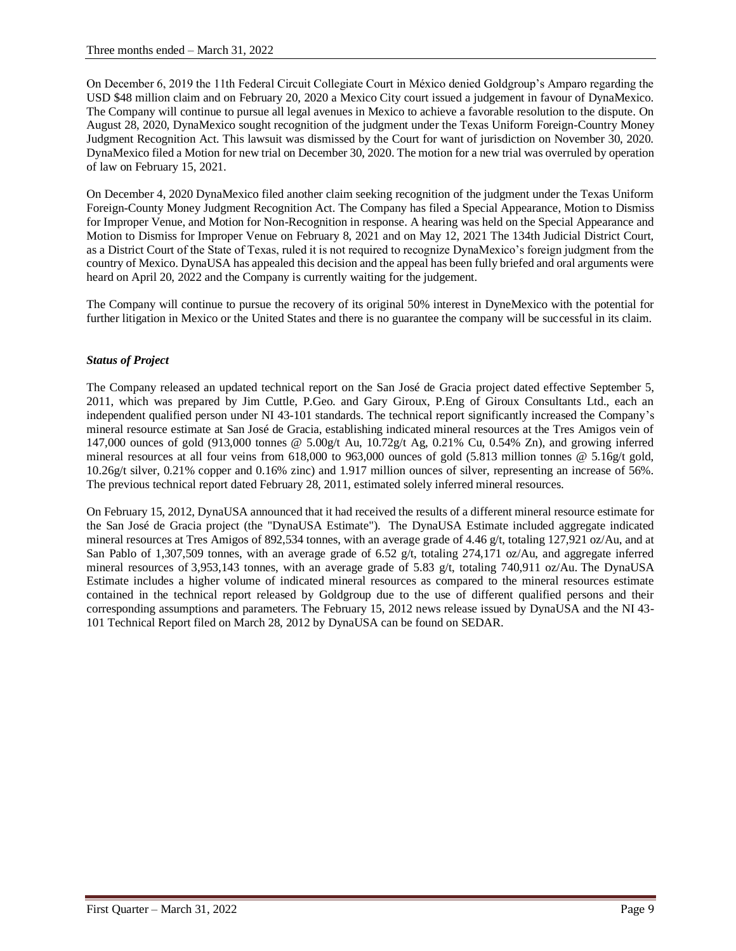On December 6, 2019 the 11th Federal Circuit Collegiate Court in México denied Goldgroup's Amparo regarding the USD \$48 million claim and on February 20, 2020 a Mexico City court issued a judgement in favour of DynaMexico. The Company will continue to pursue all legal avenues in Mexico to achieve a favorable resolution to the dispute. On August 28, 2020, DynaMexico sought recognition of the judgment under the Texas Uniform Foreign-Country Money Judgment Recognition Act. This lawsuit was dismissed by the Court for want of jurisdiction on November 30, 2020. DynaMexico filed a Motion for new trial on December 30, 2020. The motion for a new trial was overruled by operation of law on February 15, 2021.

On December 4, 2020 DynaMexico filed another claim seeking recognition of the judgment under the Texas Uniform Foreign-County Money Judgment Recognition Act. The Company has filed a Special Appearance, Motion to Dismiss for Improper Venue, and Motion for Non-Recognition in response. A hearing was held on the Special Appearance and Motion to Dismiss for Improper Venue on February 8, 2021 and on May 12, 2021 The 134th Judicial District Court, as a District Court of the State of Texas, ruled it is not required to recognize DynaMexico's foreign judgment from the country of Mexico. DynaUSA has appealed this decision and the appeal has been fully briefed and oral arguments were heard on April 20, 2022 and the Company is currently waiting for the judgement.

The Company will continue to pursue the recovery of its original 50% interest in DyneMexico with the potential for further litigation in Mexico or the United States and there is no guarantee the company will be successful in its claim.

# *Status of Project*

The Company released an updated technical report on the San José de Gracia project dated effective September 5, 2011, which was prepared by Jim Cuttle, P.Geo. and Gary Giroux, P.Eng of Giroux Consultants Ltd., each an independent qualified person under NI 43-101 standards. The technical report significantly increased the Company's mineral resource estimate at San José de Gracia, establishing indicated mineral resources at the Tres Amigos vein of 147,000 ounces of gold (913,000 tonnes @ 5.00g/t Au, 10.72g/t Ag, 0.21% Cu, 0.54% Zn), and growing inferred mineral resources at all four veins from 618,000 to 963,000 ounces of gold (5.813 million tonnes  $\omega$  5.16g/t gold, 10.26g/t silver, 0.21% copper and 0.16% zinc) and 1.917 million ounces of silver, representing an increase of 56%. The previous technical report dated February 28, 2011, estimated solely inferred mineral resources.

On February 15, 2012, DynaUSA announced that it had received the results of a different mineral resource estimate for the San José de Gracia project (the "DynaUSA Estimate"). The DynaUSA Estimate included aggregate indicated mineral resources at Tres Amigos of 892,534 tonnes, with an average grade of 4.46 g/t, totaling 127,921 oz/Au, and at San Pablo of 1,307,509 tonnes, with an average grade of 6.52 g/t, totaling 274,171 oz/Au, and aggregate inferred mineral resources of 3,953,143 tonnes, with an average grade of 5.83 g/t, totaling 740,911 oz/Au. The DynaUSA Estimate includes a higher volume of indicated mineral resources as compared to the mineral resources estimate contained in the technical report released by Goldgroup due to the use of different qualified persons and their corresponding assumptions and parameters. The February 15, 2012 news release issued by DynaUSA and the NI 43- 101 Technical Report filed on March 28, 2012 by DynaUSA can be found on SEDAR.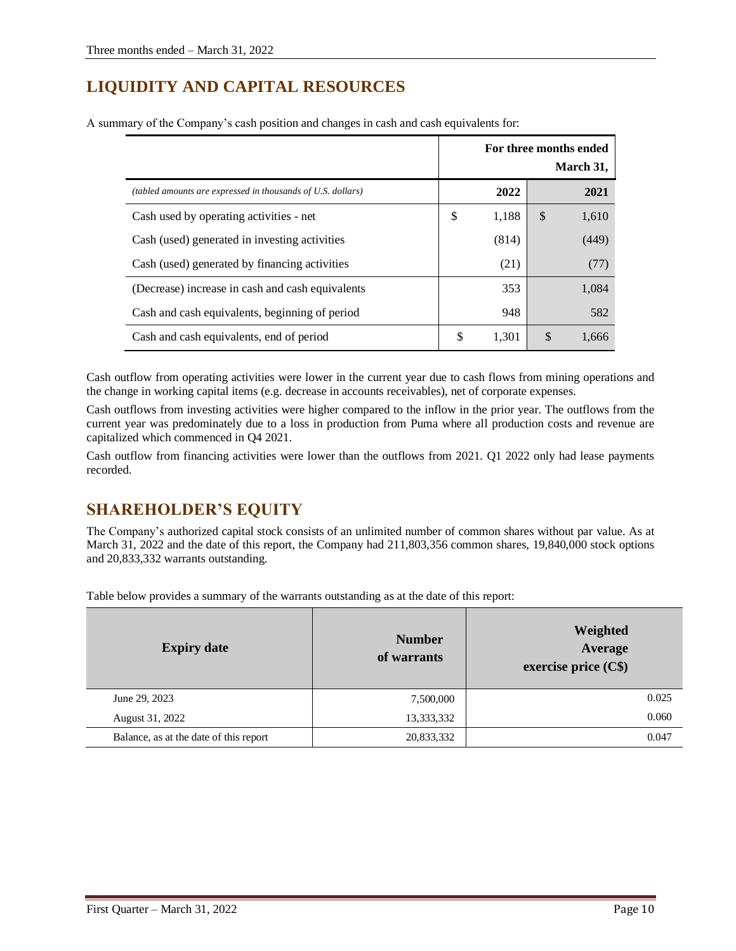# **LIQUIDITY AND CAPITAL RESOURCES**

|                                                             |             |               | For three months ended<br>March 31, |
|-------------------------------------------------------------|-------------|---------------|-------------------------------------|
| (tabled amounts are expressed in thousands of U.S. dollars) | 2022        |               | 2021                                |
| Cash used by operating activities - net                     | \$<br>1,188 | <sup>\$</sup> | 1,610                               |
| Cash (used) generated in investing activities               | (814)       |               | (449)                               |
| Cash (used) generated by financing activities               | (21)        |               | (77)                                |
| (Decrease) increase in cash and cash equivalents            | 353         |               | 1,084                               |
| Cash and cash equivalents, beginning of period              | 948         |               | 582                                 |
| Cash and cash equivalents, end of period                    | \$<br>1,301 | \$            | 1,666                               |

A summary of the Company's cash position and changes in cash and cash equivalents for:

Cash outflow from operating activities were lower in the current year due to cash flows from mining operations and the change in working capital items (e.g. decrease in accounts receivables), net of corporate expenses.

Cash outflows from investing activities were higher compared to the inflow in the prior year. The outflows from the current year was predominately due to a loss in production from Puma where all production costs and revenue are capitalized which commenced in Q4 2021.

Cash outflow from financing activities were lower than the outflows from 2021. Q1 2022 only had lease payments recorded.

# **SHAREHOLDER'S EQUITY**

The Company's authorized capital stock consists of an unlimited number of common shares without par value. As at March 31, 2022 and the date of this report, the Company had 211,803,356 common shares, 19,840,000 stock options and 20,833,332 warrants outstanding.

Table below provides a summary of the warrants outstanding as at the date of this report:

| <b>Expiry date</b>                     | <b>Number</b><br>of warrants | Weighted<br>Average<br>exercise price $(Cs)$ |
|----------------------------------------|------------------------------|----------------------------------------------|
| June 29, 2023                          | 7,500,000                    | 0.025                                        |
| August 31, 2022                        | 13,333,332                   | 0.060                                        |
| Balance, as at the date of this report | 20,833,332                   | 0.047                                        |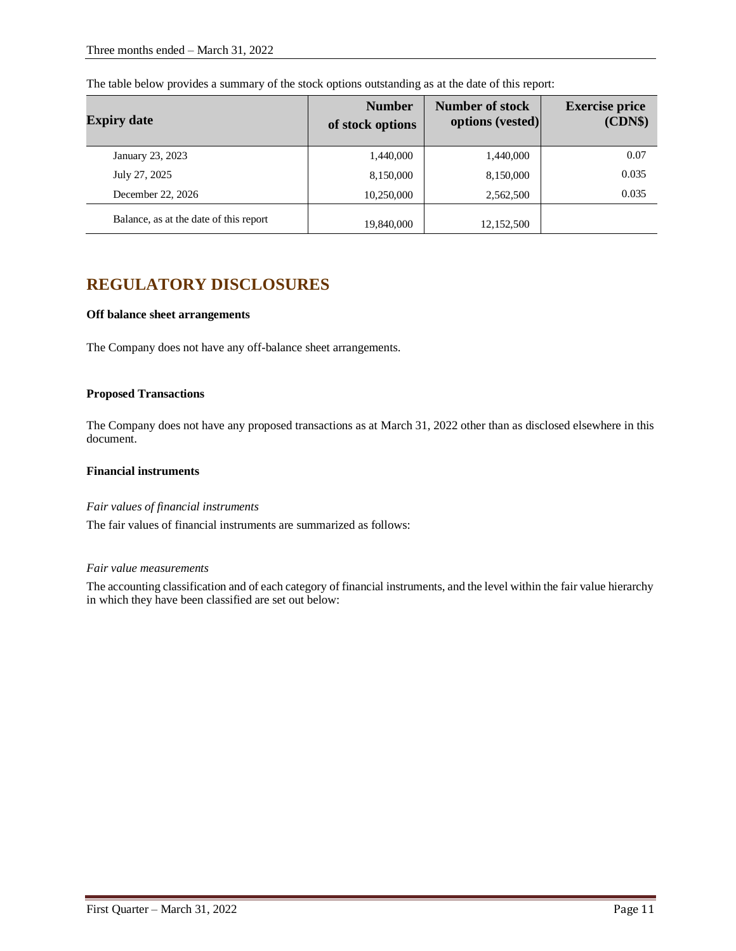| <b>Expiry date</b>                     | <b>Number</b><br>of stock options | <b>Number of stock</b><br>options (vested) | <b>Exercise price</b><br>(CDN\$) |
|----------------------------------------|-----------------------------------|--------------------------------------------|----------------------------------|
| January 23, 2023                       | 1,440,000                         | 1,440,000                                  | 0.07                             |
| July 27, 2025                          | 8,150,000                         | 8,150,000                                  | 0.035                            |
| December 22, 2026                      | 10,250,000                        | 2,562,500                                  | 0.035                            |
| Balance, as at the date of this report | 19,840,000                        | 12,152,500                                 |                                  |

The table below provides a summary of the stock options outstanding as at the date of this report:

# **REGULATORY DISCLOSURES**

# **Off balance sheet arrangements**

The Company does not have any off-balance sheet arrangements.

### **Proposed Transactions**

The Company does not have any proposed transactions as at March 31, 2022 other than as disclosed elsewhere in this document.

# **Financial instruments**

#### *Fair values of financial instruments*

The fair values of financial instruments are summarized as follows:

#### *Fair value measurements*

The accounting classification and of each category of financial instruments, and the level within the fair value hierarchy in which they have been classified are set out below: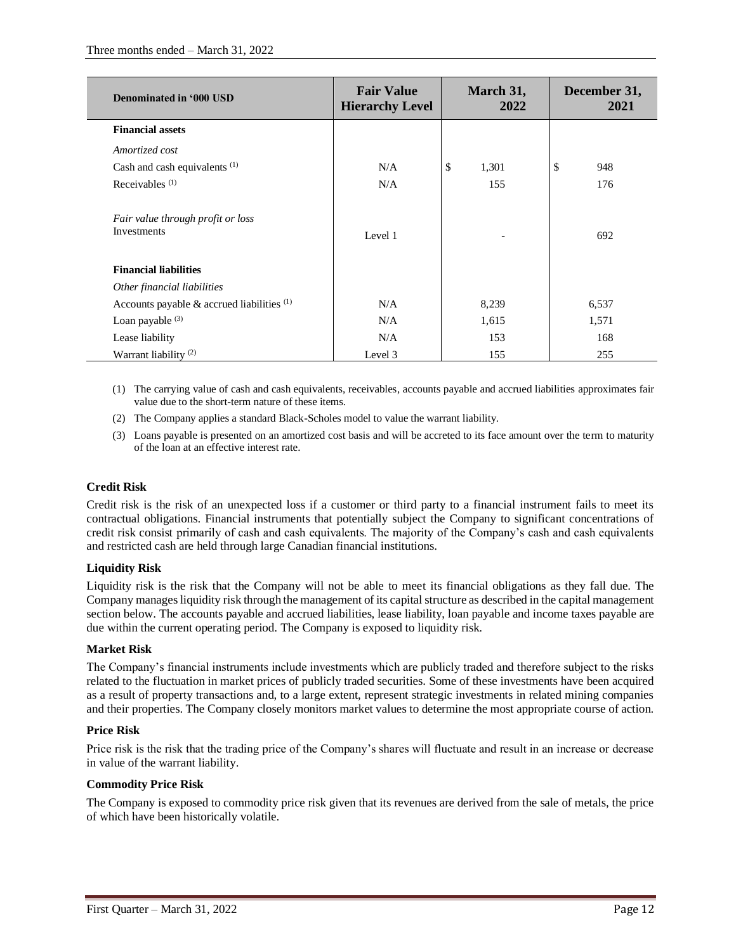| Denominated in '000 USD                          | <b>Fair Value</b><br><b>Hierarchy Level</b> | March 31,<br>2022 | December 31,<br>2021 |
|--------------------------------------------------|---------------------------------------------|-------------------|----------------------|
| <b>Financial assets</b>                          |                                             |                   |                      |
| Amortized cost                                   |                                             |                   |                      |
| Cash and cash equivalents <sup>(1)</sup>         | N/A                                         | \$<br>1,301       | \$<br>948            |
| Receivables <sup>(1)</sup>                       | N/A                                         | 155               | 176                  |
| Fair value through profit or loss<br>Investments | Level 1                                     |                   | 692                  |
| <b>Financial liabilities</b>                     |                                             |                   |                      |
| Other financial liabilities                      |                                             |                   |                      |
| Accounts payable $\&$ accrued liabilities $(1)$  | N/A                                         | 8,239             | 6,537                |
| Loan payable $(3)$                               | N/A                                         | 1,615             | 1,571                |
| Lease liability                                  | N/A                                         | 153               | 168                  |
| Warrant liability $(2)$                          | Level 3                                     | 155               | 255                  |

- (1) The carrying value of cash and cash equivalents, receivables, accounts payable and accrued liabilities approximates fair value due to the short-term nature of these items.
- (2) The Company applies a standard Black-Scholes model to value the warrant liability.
- (3) Loans payable is presented on an amortized cost basis and will be accreted to its face amount over the term to maturity of the loan at an effective interest rate.

# **Credit Risk**

Credit risk is the risk of an unexpected loss if a customer or third party to a financial instrument fails to meet its contractual obligations. Financial instruments that potentially subject the Company to significant concentrations of credit risk consist primarily of cash and cash equivalents. The majority of the Company's cash and cash equivalents and restricted cash are held through large Canadian financial institutions.

# **Liquidity Risk**

Liquidity risk is the risk that the Company will not be able to meet its financial obligations as they fall due. The Company manages liquidity risk through the management of its capital structure as described in the capital management section below. The accounts payable and accrued liabilities, lease liability, loan payable and income taxes payable are due within the current operating period. The Company is exposed to liquidity risk.

# **Market Risk**

The Company's financial instruments include investments which are publicly traded and therefore subject to the risks related to the fluctuation in market prices of publicly traded securities. Some of these investments have been acquired as a result of property transactions and, to a large extent, represent strategic investments in related mining companies and their properties. The Company closely monitors market values to determine the most appropriate course of action.

# **Price Risk**

Price risk is the risk that the trading price of the Company's shares will fluctuate and result in an increase or decrease in value of the warrant liability.

# **Commodity Price Risk**

The Company is exposed to commodity price risk given that its revenues are derived from the sale of metals, the price of which have been historically volatile.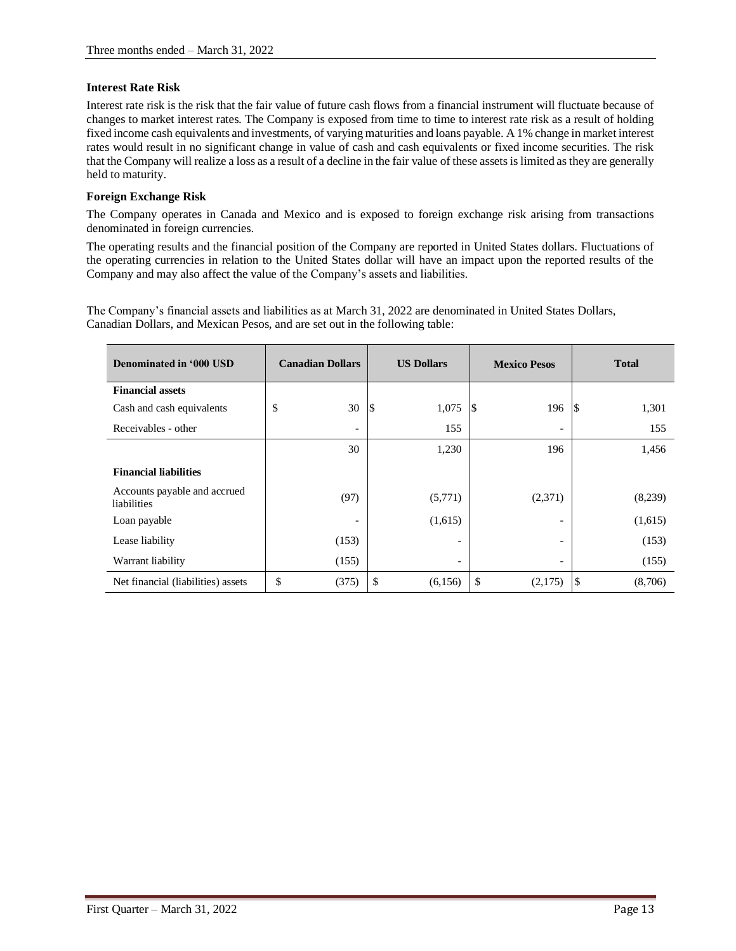# **Interest Rate Risk**

Interest rate risk is the risk that the fair value of future cash flows from a financial instrument will fluctuate because of changes to market interest rates. The Company is exposed from time to time to interest rate risk as a result of holding fixed income cash equivalents and investments, of varying maturities and loans payable. A 1% change in market interest rates would result in no significant change in value of cash and cash equivalents or fixed income securities. The risk that the Company will realize a loss as a result of a decline in the fair value of these assets is limited as they are generally held to maturity.

### **Foreign Exchange Risk**

The Company operates in Canada and Mexico and is exposed to foreign exchange risk arising from transactions denominated in foreign currencies.

The operating results and the financial position of the Company are reported in United States dollars. Fluctuations of the operating currencies in relation to the United States dollar will have an impact upon the reported results of the Company and may also affect the value of the Company's assets and liabilities.

The Company's financial assets and liabilities as at March 31, 2022 are denominated in United States Dollars, Canadian Dollars, and Mexican Pesos, and are set out in the following table:

| Denominated in '000 USD                     | <b>Canadian Dollars</b>  | <b>US Dollars</b>        | <b>Mexico Pesos</b>      | <b>Total</b>          |
|---------------------------------------------|--------------------------|--------------------------|--------------------------|-----------------------|
| <b>Financial assets</b>                     |                          |                          |                          |                       |
| Cash and cash equivalents                   | \$<br>30                 | 1,075<br>S               | 196<br>8                 | 1,301                 |
| Receivables - other                         | $\overline{\phantom{a}}$ | 155                      | $\overline{\phantom{a}}$ | 155                   |
|                                             | 30                       | 1,230                    | 196                      | 1,456                 |
| <b>Financial liabilities</b>                |                          |                          |                          |                       |
| Accounts payable and accrued<br>liabilities | (97)                     | (5,771)                  | (2,371)                  | (8,239)               |
| Loan payable                                |                          | (1,615)                  |                          | (1,615)               |
| Lease liability                             | (153)                    | $\overline{\phantom{a}}$ | $\overline{\phantom{a}}$ | (153)                 |
| Warrant liability                           | (155)                    | $\overline{\phantom{a}}$ | $\overline{\phantom{a}}$ | (155)                 |
| Net financial (liabilities) assets          | \$<br>(375)              | \$<br>(6, 156)           | \$<br>(2,175)            | $\sqrt{5}$<br>(8,706) |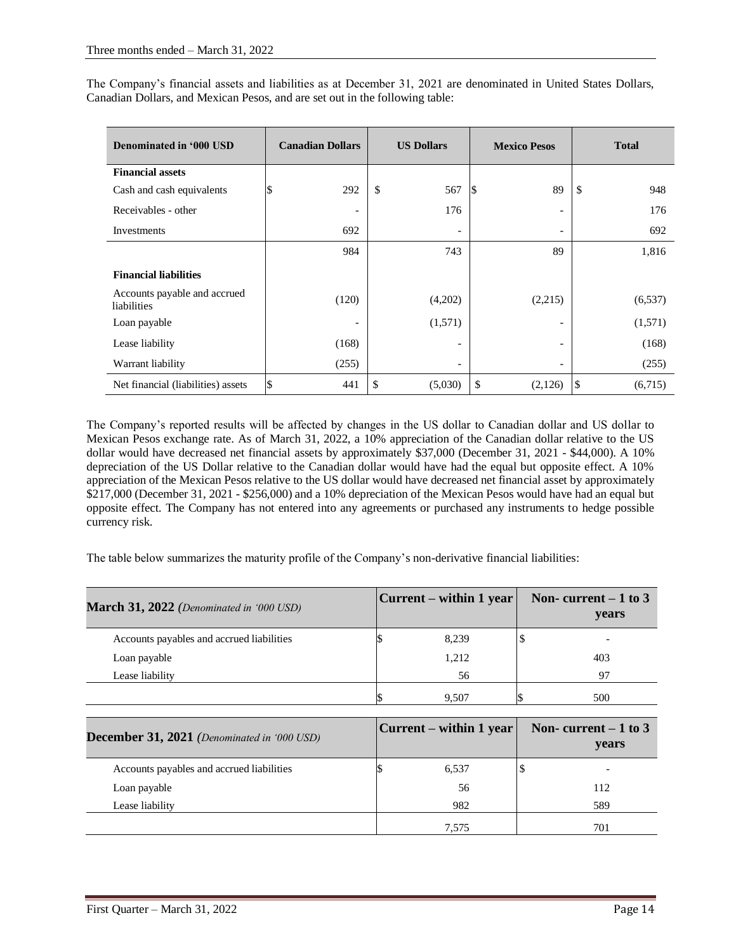The Company's financial assets and liabilities as at December 31, 2021 are denominated in United States Dollars, Canadian Dollars, and Mexican Pesos, and are set out in the following table:

| Denominated in '000 USD                     | <b>Canadian Dollars</b> | <b>US Dollars</b>        |    | <b>Mexico Pesos</b>      | <b>Total</b>  |
|---------------------------------------------|-------------------------|--------------------------|----|--------------------------|---------------|
| <b>Financial assets</b>                     |                         |                          |    |                          |               |
| Cash and cash equivalents                   | 292<br>S                | \$<br>567                | IЖ | 89                       | \$<br>948     |
| Receivables - other                         |                         | 176                      |    | $\qquad \qquad$          | 176           |
| Investments                                 | 692                     | $\overline{\phantom{a}}$ |    | $\qquad \qquad$          | 692           |
|                                             | 984                     | 743                      |    | 89                       | 1,816         |
| <b>Financial liabilities</b>                |                         |                          |    |                          |               |
| Accounts payable and accrued<br>liabilities | (120)                   | (4,202)                  |    | (2,215)                  | (6, 537)      |
| Loan payable                                |                         | (1,571)                  |    |                          | (1,571)       |
| Lease liability                             | (168)                   | $\qquad \qquad$          |    | $\overline{\phantom{a}}$ | (168)         |
| Warrant liability                           | (255)                   | $\overline{\phantom{a}}$ |    |                          | (255)         |
| Net financial (liabilities) assets          | \$<br>441               | \$<br>(5,030)            | \$ | (2,126)                  | \$<br>(6,715) |

The Company's reported results will be affected by changes in the US dollar to Canadian dollar and US dollar to Mexican Pesos exchange rate. As of March 31, 2022, a 10% appreciation of the Canadian dollar relative to the US dollar would have decreased net financial assets by approximately \$37,000 (December 31, 2021 - \$44,000). A 10% depreciation of the US Dollar relative to the Canadian dollar would have had the equal but opposite effect. A 10% appreciation of the Mexican Pesos relative to the US dollar would have decreased net financial asset by approximately \$217,000 (December 31, 2021 - \$256,000) and a 10% depreciation of the Mexican Pesos would have had an equal but opposite effect. The Company has not entered into any agreements or purchased any instruments to hedge possible currency risk.

The table below summarizes the maturity profile of the Company's non-derivative financial liabilities:

| <b>March 31, 2022</b> (Denominated in '000 USD) | Current – within 1 year | Non-current $-1$ to 3<br>years |
|-------------------------------------------------|-------------------------|--------------------------------|
| Accounts payables and accrued liabilities       | 8,239                   |                                |
| Loan payable                                    | 1,212                   | 403                            |
| Lease liability                                 | 56                      | 97                             |
|                                                 | 9,507                   | 500                            |

| <b>December 31, 2021</b> (Denominated in '000 USD) | $ Current - within 1 year $ | Non-current $-1$ to 3<br><b>vears</b> |
|----------------------------------------------------|-----------------------------|---------------------------------------|
| Accounts payables and accrued liabilities          | 6,537                       |                                       |
| Loan payable                                       | 56                          | 112                                   |
| Lease liability                                    | 982                         | 589                                   |
|                                                    | 7.575                       | 701                                   |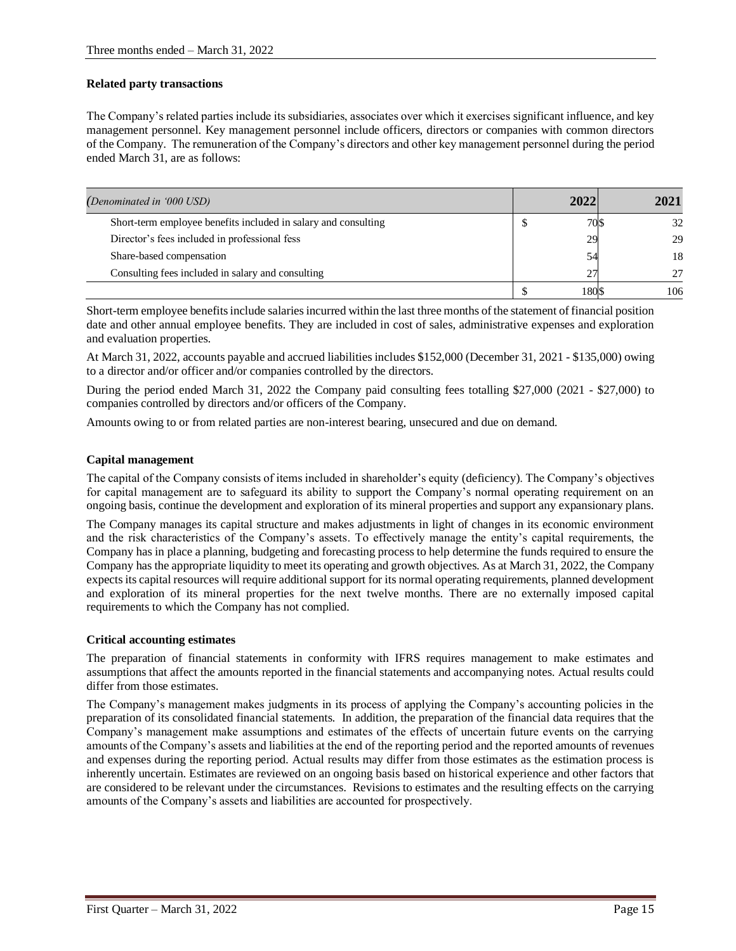# **Related party transactions**

The Company's related parties include its subsidiaries, associates over which it exercises significant influence, and key management personnel. Key management personnel include officers, directors or companies with common directors of the Company. The remuneration of the Company's directors and other key management personnel during the period ended March 31, are as follows:

| (Denominated in '000 USD)                                      | 2022 | 2021 |
|----------------------------------------------------------------|------|------|
| Short-term employee benefits included in salary and consulting | 70\$ | 32   |
| Director's fees included in professional fess                  | 29   | 29   |
| Share-based compensation                                       | 54   | 18   |
| Consulting fees included in salary and consulting              | 27   | 27   |
|                                                                | 1801 | 106  |

Short-term employee benefits include salaries incurred within the last three months of the statement of financial position date and other annual employee benefits. They are included in cost of sales, administrative expenses and exploration and evaluation properties.

At March 31, 2022, accounts payable and accrued liabilities includes \$152,000 (December 31, 2021 - \$135,000) owing to a director and/or officer and/or companies controlled by the directors.

During the period ended March 31, 2022 the Company paid consulting fees totalling \$27,000 (2021 - \$27,000) to companies controlled by directors and/or officers of the Company.

Amounts owing to or from related parties are non-interest bearing, unsecured and due on demand.

# **Capital management**

The capital of the Company consists of items included in shareholder's equity (deficiency). The Company's objectives for capital management are to safeguard its ability to support the Company's normal operating requirement on an ongoing basis, continue the development and exploration of its mineral properties and support any expansionary plans.

The Company manages its capital structure and makes adjustments in light of changes in its economic environment and the risk characteristics of the Company's assets. To effectively manage the entity's capital requirements, the Company has in place a planning, budgeting and forecasting process to help determine the funds required to ensure the Company has the appropriate liquidity to meet its operating and growth objectives. As at March 31, 2022, the Company expects its capital resources will require additional support for its normal operating requirements, planned development and exploration of its mineral properties for the next twelve months. There are no externally imposed capital requirements to which the Company has not complied.

# **Critical accounting estimates**

The preparation of financial statements in conformity with IFRS requires management to make estimates and assumptions that affect the amounts reported in the financial statements and accompanying notes. Actual results could differ from those estimates.

The Company's management makes judgments in its process of applying the Company's accounting policies in the preparation of its consolidated financial statements. In addition, the preparation of the financial data requires that the Company's management make assumptions and estimates of the effects of uncertain future events on the carrying amounts of the Company's assets and liabilities at the end of the reporting period and the reported amounts of revenues and expenses during the reporting period. Actual results may differ from those estimates as the estimation process is inherently uncertain. Estimates are reviewed on an ongoing basis based on historical experience and other factors that are considered to be relevant under the circumstances. Revisions to estimates and the resulting effects on the carrying amounts of the Company's assets and liabilities are accounted for prospectively.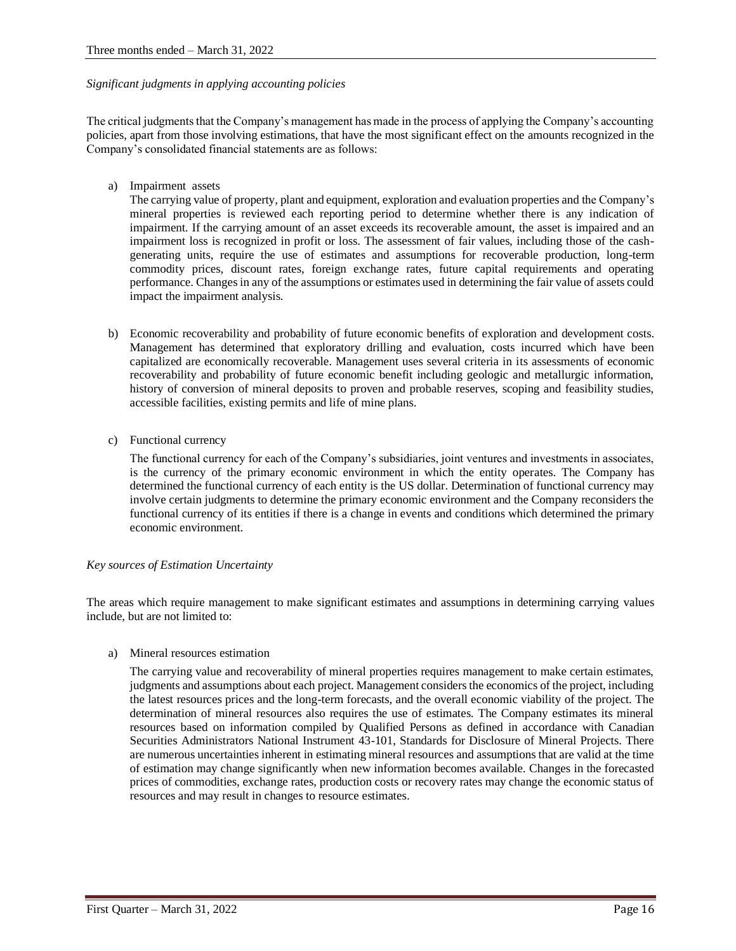### *Significant judgments in applying accounting policies*

The critical judgments that the Company's management has made in the process of applying the Company's accounting policies, apart from those involving estimations, that have the most significant effect on the amounts recognized in the Company's consolidated financial statements are as follows:

a) Impairment assets

The carrying value of property, plant and equipment, exploration and evaluation properties and the Company's mineral properties is reviewed each reporting period to determine whether there is any indication of impairment. If the carrying amount of an asset exceeds its recoverable amount, the asset is impaired and an impairment loss is recognized in profit or loss. The assessment of fair values, including those of the cashgenerating units, require the use of estimates and assumptions for recoverable production, long-term commodity prices, discount rates, foreign exchange rates, future capital requirements and operating performance. Changes in any of the assumptions or estimates used in determining the fair value of assets could impact the impairment analysis.

- b) Economic recoverability and probability of future economic benefits of exploration and development costs. Management has determined that exploratory drilling and evaluation, costs incurred which have been capitalized are economically recoverable. Management uses several criteria in its assessments of economic recoverability and probability of future economic benefit including geologic and metallurgic information, history of conversion of mineral deposits to proven and probable reserves, scoping and feasibility studies, accessible facilities, existing permits and life of mine plans.
- c) Functional currency

The functional currency for each of the Company's subsidiaries, joint ventures and investments in associates, is the currency of the primary economic environment in which the entity operates. The Company has determined the functional currency of each entity is the US dollar. Determination of functional currency may involve certain judgments to determine the primary economic environment and the Company reconsiders the functional currency of its entities if there is a change in events and conditions which determined the primary economic environment.

# *Key sources of Estimation Uncertainty*

The areas which require management to make significant estimates and assumptions in determining carrying values include, but are not limited to:

a) Mineral resources estimation

The carrying value and recoverability of mineral properties requires management to make certain estimates, judgments and assumptions about each project. Management considers the economics of the project, including the latest resources prices and the long-term forecasts, and the overall economic viability of the project. The determination of mineral resources also requires the use of estimates. The Company estimates its mineral resources based on information compiled by Qualified Persons as defined in accordance with Canadian Securities Administrators National Instrument 43-101, Standards for Disclosure of Mineral Projects. There are numerous uncertainties inherent in estimating mineral resources and assumptions that are valid at the time of estimation may change significantly when new information becomes available. Changes in the forecasted prices of commodities, exchange rates, production costs or recovery rates may change the economic status of resources and may result in changes to resource estimates.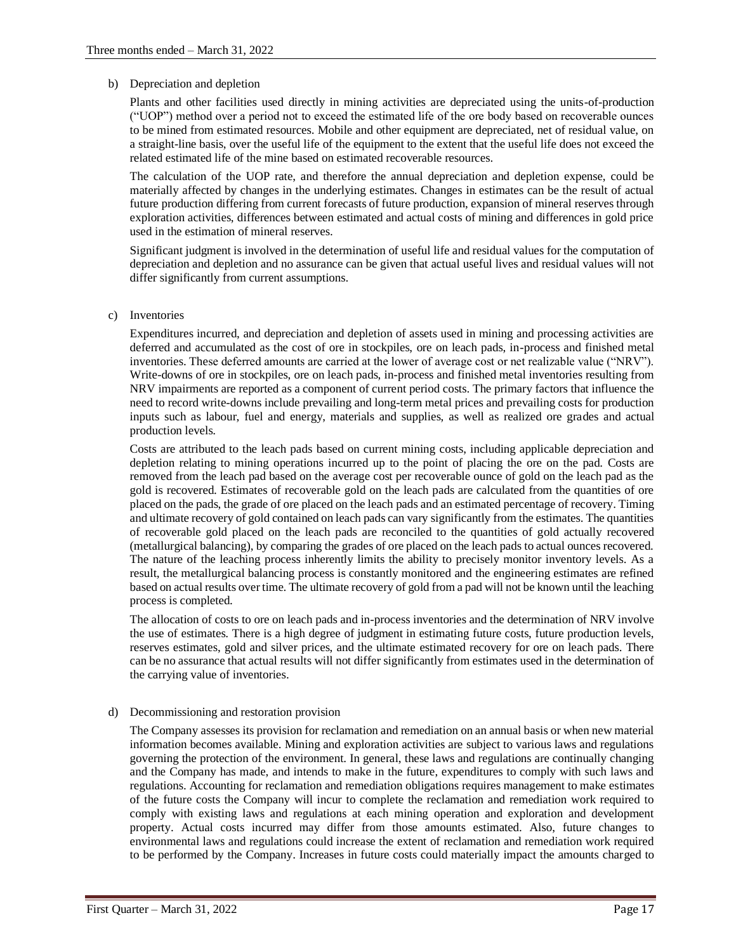#### b) Depreciation and depletion

Plants and other facilities used directly in mining activities are depreciated using the units-of-production ("UOP") method over a period not to exceed the estimated life of the ore body based on recoverable ounces to be mined from estimated resources. Mobile and other equipment are depreciated, net of residual value, on a straight-line basis, over the useful life of the equipment to the extent that the useful life does not exceed the related estimated life of the mine based on estimated recoverable resources.

The calculation of the UOP rate, and therefore the annual depreciation and depletion expense, could be materially affected by changes in the underlying estimates. Changes in estimates can be the result of actual future production differing from current forecasts of future production, expansion of mineral reserves through exploration activities, differences between estimated and actual costs of mining and differences in gold price used in the estimation of mineral reserves.

Significant judgment is involved in the determination of useful life and residual values for the computation of depreciation and depletion and no assurance can be given that actual useful lives and residual values will not differ significantly from current assumptions.

### c) Inventories

Expenditures incurred, and depreciation and depletion of assets used in mining and processing activities are deferred and accumulated as the cost of ore in stockpiles, ore on leach pads, in-process and finished metal inventories. These deferred amounts are carried at the lower of average cost or net realizable value ("NRV"). Write-downs of ore in stockpiles, ore on leach pads, in-process and finished metal inventories resulting from NRV impairments are reported as a component of current period costs. The primary factors that influence the need to record write-downs include prevailing and long-term metal prices and prevailing costs for production inputs such as labour, fuel and energy, materials and supplies, as well as realized ore grades and actual production levels.

Costs are attributed to the leach pads based on current mining costs, including applicable depreciation and depletion relating to mining operations incurred up to the point of placing the ore on the pad. Costs are removed from the leach pad based on the average cost per recoverable ounce of gold on the leach pad as the gold is recovered. Estimates of recoverable gold on the leach pads are calculated from the quantities of ore placed on the pads, the grade of ore placed on the leach pads and an estimated percentage of recovery. Timing and ultimate recovery of gold contained on leach pads can vary significantly from the estimates. The quantities of recoverable gold placed on the leach pads are reconciled to the quantities of gold actually recovered (metallurgical balancing), by comparing the grades of ore placed on the leach pads to actual ounces recovered. The nature of the leaching process inherently limits the ability to precisely monitor inventory levels. As a result, the metallurgical balancing process is constantly monitored and the engineering estimates are refined based on actual results over time. The ultimate recovery of gold from a pad will not be known until the leaching process is completed.

The allocation of costs to ore on leach pads and in-process inventories and the determination of NRV involve the use of estimates. There is a high degree of judgment in estimating future costs, future production levels, reserves estimates, gold and silver prices, and the ultimate estimated recovery for ore on leach pads. There can be no assurance that actual results will not differ significantly from estimates used in the determination of the carrying value of inventories.

#### d) Decommissioning and restoration provision

The Company assesses its provision for reclamation and remediation on an annual basis or when new material information becomes available. Mining and exploration activities are subject to various laws and regulations governing the protection of the environment. In general, these laws and regulations are continually changing and the Company has made, and intends to make in the future, expenditures to comply with such laws and regulations. Accounting for reclamation and remediation obligations requires management to make estimates of the future costs the Company will incur to complete the reclamation and remediation work required to comply with existing laws and regulations at each mining operation and exploration and development property. Actual costs incurred may differ from those amounts estimated. Also, future changes to environmental laws and regulations could increase the extent of reclamation and remediation work required to be performed by the Company. Increases in future costs could materially impact the amounts charged to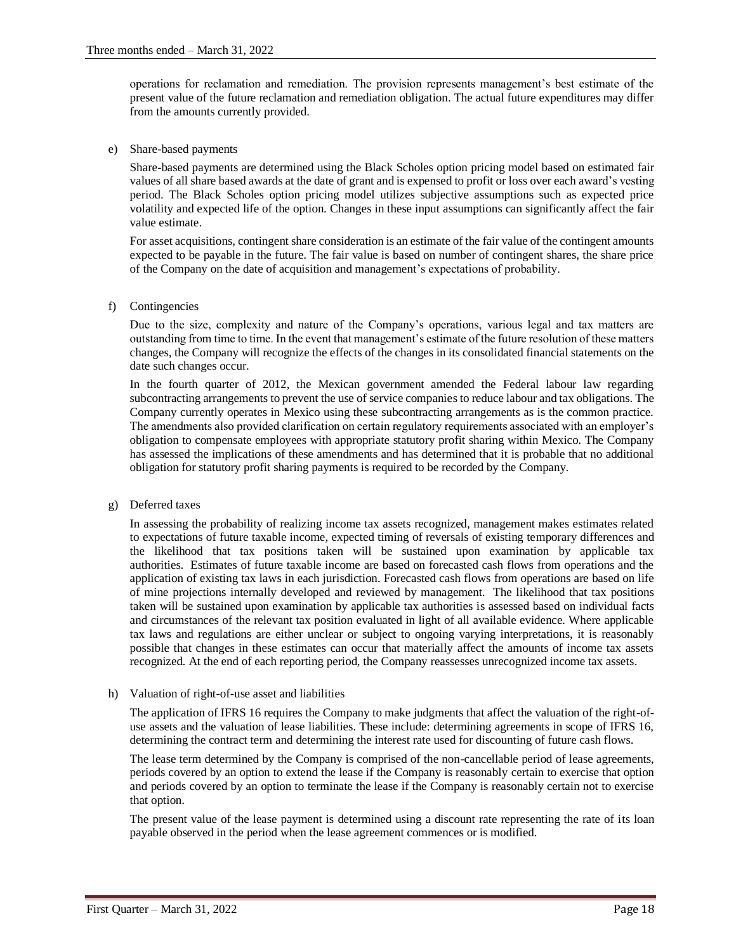operations for reclamation and remediation. The provision represents management's best estimate of the present value of the future reclamation and remediation obligation. The actual future expenditures may differ from the amounts currently provided.

e) Share-based payments

Share-based payments are determined using the Black Scholes option pricing model based on estimated fair values of all share based awards at the date of grant and is expensed to profit or loss over each award's vesting period. The Black Scholes option pricing model utilizes subjective assumptions such as expected price volatility and expected life of the option. Changes in these input assumptions can significantly affect the fair value estimate.

For asset acquisitions, contingent share consideration is an estimate of the fair value of the contingent amounts expected to be payable in the future. The fair value is based on number of contingent shares, the share price of the Company on the date of acquisition and management's expectations of probability.

f) Contingencies

Due to the size, complexity and nature of the Company's operations, various legal and tax matters are outstanding from time to time. In the event that management's estimate of the future resolution of these matters changes, the Company will recognize the effects of the changes in its consolidated financial statements on the date such changes occur.

In the fourth quarter of 2012, the Mexican government amended the Federal labour law regarding subcontracting arrangements to prevent the use of service companies to reduce labour and tax obligations. The Company currently operates in Mexico using these subcontracting arrangements as is the common practice. The amendments also provided clarification on certain regulatory requirements associated with an employer's obligation to compensate employees with appropriate statutory profit sharing within Mexico. The Company has assessed the implications of these amendments and has determined that it is probable that no additional obligation for statutory profit sharing payments is required to be recorded by the Company.

g) Deferred taxes

In assessing the probability of realizing income tax assets recognized, management makes estimates related to expectations of future taxable income, expected timing of reversals of existing temporary differences and the likelihood that tax positions taken will be sustained upon examination by applicable tax authorities. Estimates of future taxable income are based on forecasted cash flows from operations and the application of existing tax laws in each jurisdiction. Forecasted cash flows from operations are based on life of mine projections internally developed and reviewed by management. The likelihood that tax positions taken will be sustained upon examination by applicable tax authorities is assessed based on individual facts and circumstances of the relevant tax position evaluated in light of all available evidence. Where applicable tax laws and regulations are either unclear or subject to ongoing varying interpretations, it is reasonably possible that changes in these estimates can occur that materially affect the amounts of income tax assets recognized. At the end of each reporting period, the Company reassesses unrecognized income tax assets.

h) Valuation of right-of-use asset and liabilities

The application of IFRS 16 requires the Company to make judgments that affect the valuation of the right-ofuse assets and the valuation of lease liabilities. These include: determining agreements in scope of IFRS 16, determining the contract term and determining the interest rate used for discounting of future cash flows.

The lease term determined by the Company is comprised of the non-cancellable period of lease agreements, periods covered by an option to extend the lease if the Company is reasonably certain to exercise that option and periods covered by an option to terminate the lease if the Company is reasonably certain not to exercise that option.

The present value of the lease payment is determined using a discount rate representing the rate of its loan payable observed in the period when the lease agreement commences or is modified.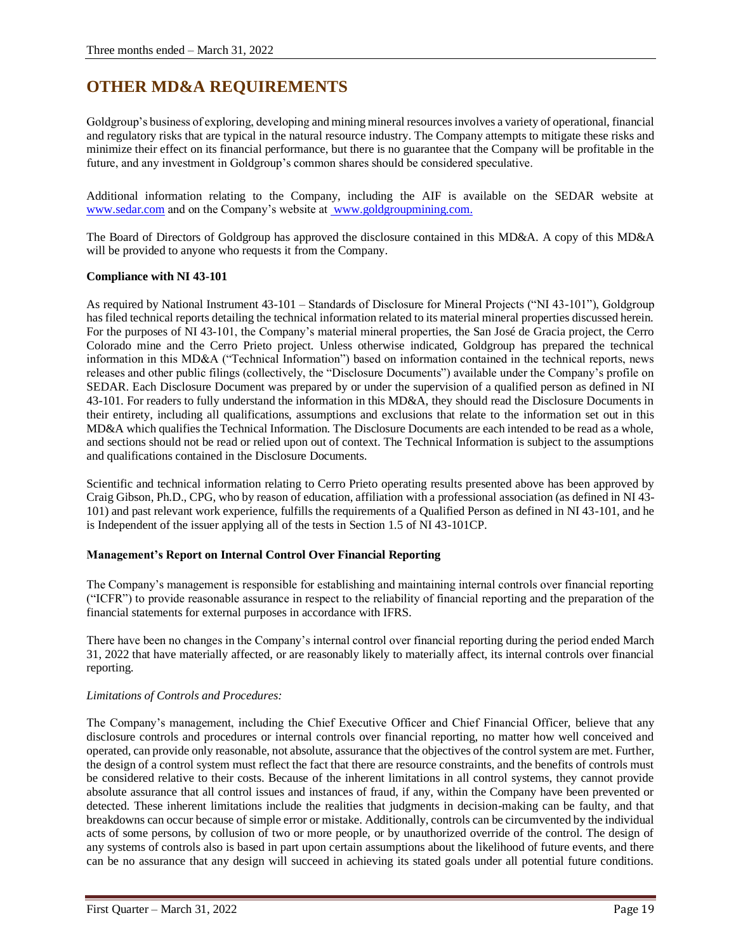# **OTHER MD&A REQUIREMENTS**

Goldgroup's business of exploring, developing and mining mineral resources involves a variety of operational, financial and regulatory risks that are typical in the natural resource industry. The Company attempts to mitigate these risks and minimize their effect on its financial performance, but there is no guarantee that the Company will be profitable in the future, and any investment in Goldgroup's common shares should be considered speculative.

Additional information relating to the Company, including the AIF is available on the SEDAR website at [www.sedar.com](http://www.sedar.com/) and on the Company's website at [www.goldgroupmining.com.](http://www.goldgroupmining.com/)

The Board of Directors of Goldgroup has approved the disclosure contained in this MD&A. A copy of this MD&A will be provided to anyone who requests it from the Company.

# **Compliance with NI 43-101**

As required by National Instrument 43-101 – Standards of Disclosure for Mineral Projects ("NI 43-101"), Goldgroup has filed technical reports detailing the technical information related to its material mineral properties discussed herein. For the purposes of NI 43-101, the Company's material mineral properties, the San José de Gracia project, the Cerro Colorado mine and the Cerro Prieto project. Unless otherwise indicated, Goldgroup has prepared the technical information in this MD&A ("Technical Information") based on information contained in the technical reports, news releases and other public filings (collectively, the "Disclosure Documents") available under the Company's profile on SEDAR. Each Disclosure Document was prepared by or under the supervision of a qualified person as defined in NI 43-101. For readers to fully understand the information in this MD&A, they should read the Disclosure Documents in their entirety, including all qualifications, assumptions and exclusions that relate to the information set out in this MD&A which qualifies the Technical Information. The Disclosure Documents are each intended to be read as a whole, and sections should not be read or relied upon out of context. The Technical Information is subject to the assumptions and qualifications contained in the Disclosure Documents.

Scientific and technical information relating to Cerro Prieto operating results presented above has been approved by Craig Gibson, Ph.D., CPG, who by reason of education, affiliation with a professional association (as defined in NI 43- 101) and past relevant work experience, fulfills the requirements of a Qualified Person as defined in NI 43-101, and he is Independent of the issuer applying all of the tests in Section 1.5 of NI 43-101CP.

# **Management's Report on Internal Control Over Financial Reporting**

The Company's management is responsible for establishing and maintaining internal controls over financial reporting ("ICFR") to provide reasonable assurance in respect to the reliability of financial reporting and the preparation of the financial statements for external purposes in accordance with IFRS.

There have been no changes in the Company's internal control over financial reporting during the period ended March 31, 2022 that have materially affected, or are reasonably likely to materially affect, its internal controls over financial reporting.

# *Limitations of Controls and Procedures:*

The Company's management, including the Chief Executive Officer and Chief Financial Officer, believe that any disclosure controls and procedures or internal controls over financial reporting, no matter how well conceived and operated, can provide only reasonable, not absolute, assurance that the objectives of the control system are met. Further, the design of a control system must reflect the fact that there are resource constraints, and the benefits of controls must be considered relative to their costs. Because of the inherent limitations in all control systems, they cannot provide absolute assurance that all control issues and instances of fraud, if any, within the Company have been prevented or detected. These inherent limitations include the realities that judgments in decision-making can be faulty, and that breakdowns can occur because of simple error or mistake. Additionally, controls can be circumvented by the individual acts of some persons, by collusion of two or more people, or by unauthorized override of the control. The design of any systems of controls also is based in part upon certain assumptions about the likelihood of future events, and there can be no assurance that any design will succeed in achieving its stated goals under all potential future conditions.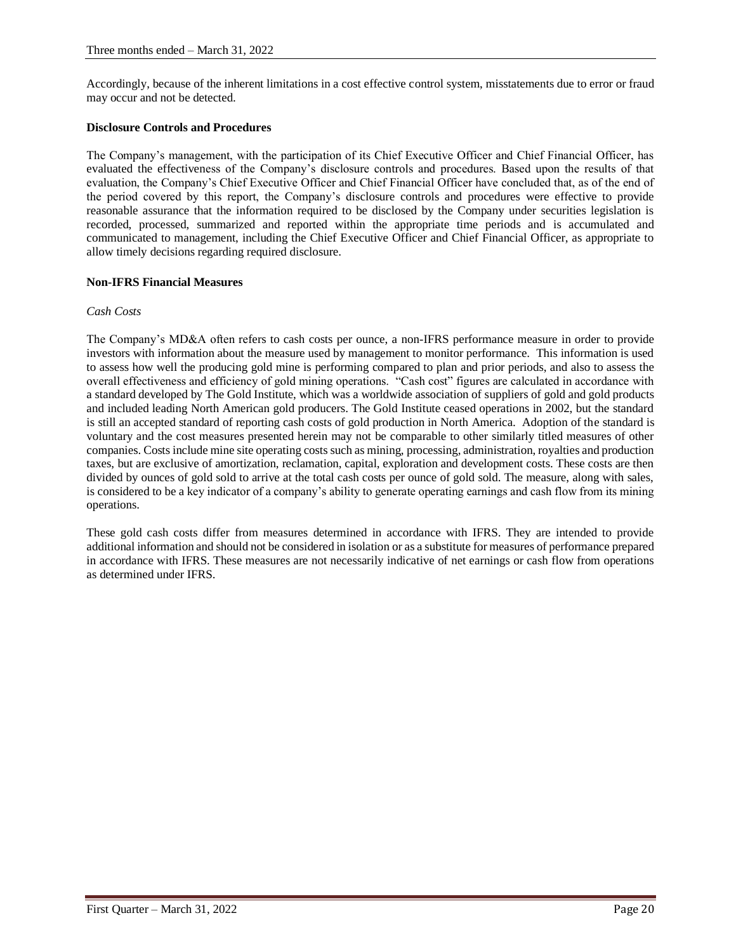Accordingly, because of the inherent limitations in a cost effective control system, misstatements due to error or fraud may occur and not be detected.

### **Disclosure Controls and Procedures**

The Company's management, with the participation of its Chief Executive Officer and Chief Financial Officer, has evaluated the effectiveness of the Company's disclosure controls and procedures. Based upon the results of that evaluation, the Company's Chief Executive Officer and Chief Financial Officer have concluded that, as of the end of the period covered by this report, the Company's disclosure controls and procedures were effective to provide reasonable assurance that the information required to be disclosed by the Company under securities legislation is recorded, processed, summarized and reported within the appropriate time periods and is accumulated and communicated to management, including the Chief Executive Officer and Chief Financial Officer, as appropriate to allow timely decisions regarding required disclosure.

### **Non-IFRS Financial Measures**

### *Cash Costs*

The Company's MD&A often refers to cash costs per ounce, a non-IFRS performance measure in order to provide investors with information about the measure used by management to monitor performance. This information is used to assess how well the producing gold mine is performing compared to plan and prior periods, and also to assess the overall effectiveness and efficiency of gold mining operations. "Cash cost" figures are calculated in accordance with a standard developed by The Gold Institute, which was a worldwide association of suppliers of gold and gold products and included leading North American gold producers. The Gold Institute ceased operations in 2002, but the standard is still an accepted standard of reporting cash costs of gold production in North America. Adoption of the standard is voluntary and the cost measures presented herein may not be comparable to other similarly titled measures of other companies. Costs include mine site operating costs such as mining, processing, administration, royalties and production taxes, but are exclusive of amortization, reclamation, capital, exploration and development costs. These costs are then divided by ounces of gold sold to arrive at the total cash costs per ounce of gold sold. The measure, along with sales, is considered to be a key indicator of a company's ability to generate operating earnings and cash flow from its mining operations.

These gold cash costs differ from measures determined in accordance with IFRS. They are intended to provide additional information and should not be considered in isolation or as a substitute for measures of performance prepared in accordance with IFRS. These measures are not necessarily indicative of net earnings or cash flow from operations as determined under IFRS.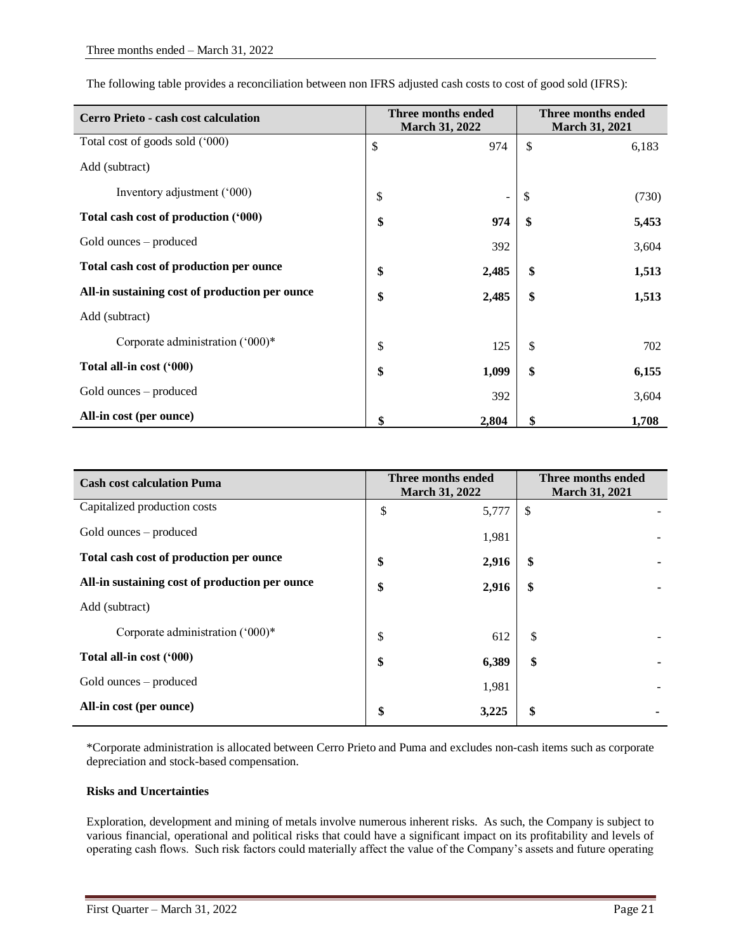The following table provides a reconciliation between non IFRS adjusted cash costs to cost of good sold (IFRS):

| <b>Cerro Prieto - cash cost calculation</b>    | Three months ended<br><b>March 31, 2022</b> |                          | Three months ended<br><b>March 31, 2021</b> |       |
|------------------------------------------------|---------------------------------------------|--------------------------|---------------------------------------------|-------|
| Total cost of goods sold ('000)                | \$                                          | 974                      | \$                                          | 6,183 |
| Add (subtract)                                 |                                             |                          |                                             |       |
| Inventory adjustment ('000)                    | \$                                          | $\overline{\phantom{a}}$ | \$                                          | (730) |
| Total cash cost of production ('000)           | \$                                          | 974                      | \$                                          | 5,453 |
| Gold ounces – produced                         |                                             | 392                      |                                             | 3,604 |
| Total cash cost of production per ounce        | \$                                          | 2,485                    | \$                                          | 1,513 |
| All-in sustaining cost of production per ounce | \$                                          | 2,485                    | \$                                          | 1,513 |
| Add (subtract)                                 |                                             |                          |                                             |       |
| Corporate administration $(000)*$              | \$                                          | 125                      | \$                                          | 702   |
| Total all-in cost ('000)                       | \$                                          | 1,099                    | \$                                          | 6,155 |
| Gold ounces – produced                         |                                             | 392                      |                                             | 3,604 |
| All-in cost (per ounce)                        | \$                                          | 2,804                    | \$                                          | 1,708 |

| <b>Cash cost calculation Puma</b>              | Three months ended<br><b>March 31, 2022</b> |       | Three months ended<br><b>March 31, 2021</b> |
|------------------------------------------------|---------------------------------------------|-------|---------------------------------------------|
| Capitalized production costs                   | \$                                          | 5,777 | \$                                          |
| Gold ounces – produced                         |                                             | 1,981 |                                             |
| Total cash cost of production per ounce        | \$                                          | 2,916 | \$                                          |
| All-in sustaining cost of production per ounce | \$                                          | 2,916 | \$                                          |
| Add (subtract)                                 |                                             |       |                                             |
| Corporate administration ('000)*               | \$                                          | 612   | \$                                          |
| Total all-in cost ('000)                       | \$                                          | 6,389 | \$                                          |
| Gold ounces – produced                         |                                             | 1,981 |                                             |
| All-in cost (per ounce)                        | \$                                          | 3,225 | \$                                          |

\*Corporate administration is allocated between Cerro Prieto and Puma and excludes non-cash items such as corporate depreciation and stock-based compensation.

# **Risks and Uncertainties**

Exploration, development and mining of metals involve numerous inherent risks. As such, the Company is subject to various financial, operational and political risks that could have a significant impact on its profitability and levels of operating cash flows. Such risk factors could materially affect the value of the Company's assets and future operating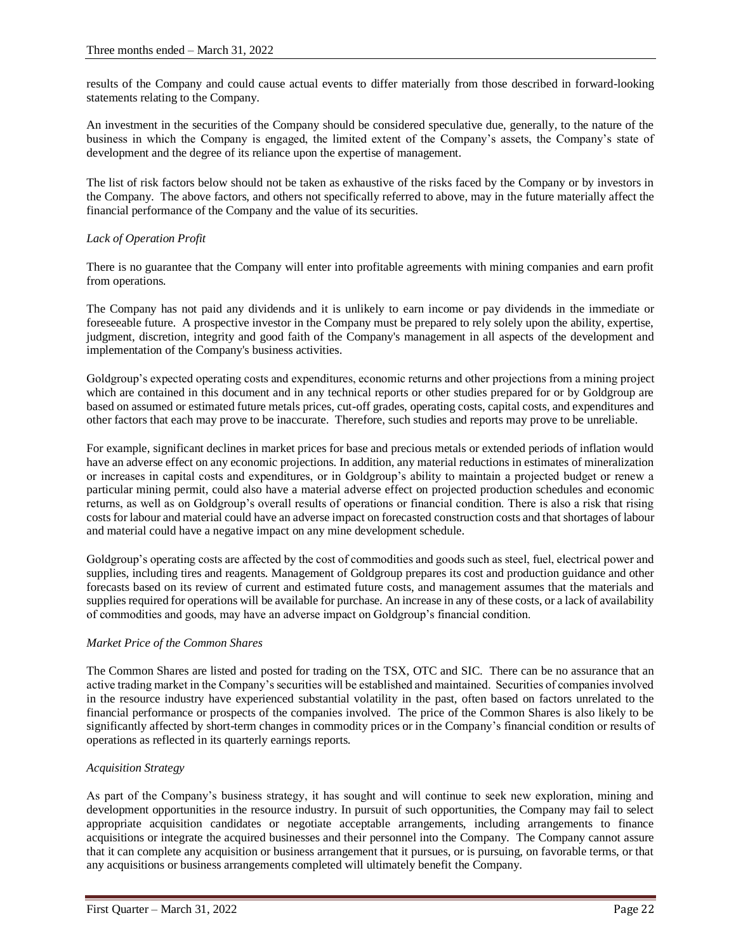results of the Company and could cause actual events to differ materially from those described in forward-looking statements relating to the Company.

An investment in the securities of the Company should be considered speculative due, generally, to the nature of the business in which the Company is engaged, the limited extent of the Company's assets, the Company's state of development and the degree of its reliance upon the expertise of management.

The list of risk factors below should not be taken as exhaustive of the risks faced by the Company or by investors in the Company. The above factors, and others not specifically referred to above, may in the future materially affect the financial performance of the Company and the value of its securities.

# *Lack of Operation Profit*

There is no guarantee that the Company will enter into profitable agreements with mining companies and earn profit from operations.

The Company has not paid any dividends and it is unlikely to earn income or pay dividends in the immediate or foreseeable future. A prospective investor in the Company must be prepared to rely solely upon the ability, expertise, judgment, discretion, integrity and good faith of the Company's management in all aspects of the development and implementation of the Company's business activities.

Goldgroup's expected operating costs and expenditures, economic returns and other projections from a mining project which are contained in this document and in any technical reports or other studies prepared for or by Goldgroup are based on assumed or estimated future metals prices, cut-off grades, operating costs, capital costs, and expenditures and other factors that each may prove to be inaccurate. Therefore, such studies and reports may prove to be unreliable.

For example, significant declines in market prices for base and precious metals or extended periods of inflation would have an adverse effect on any economic projections. In addition, any material reductions in estimates of mineralization or increases in capital costs and expenditures, or in Goldgroup's ability to maintain a projected budget or renew a particular mining permit, could also have a material adverse effect on projected production schedules and economic returns, as well as on Goldgroup's overall results of operations or financial condition. There is also a risk that rising costs for labour and material could have an adverse impact on forecasted construction costs and that shortages of labour and material could have a negative impact on any mine development schedule.

Goldgroup's operating costs are affected by the cost of commodities and goods such as steel, fuel, electrical power and supplies, including tires and reagents. Management of Goldgroup prepares its cost and production guidance and other forecasts based on its review of current and estimated future costs, and management assumes that the materials and supplies required for operations will be available for purchase. An increase in any of these costs, or a lack of availability of commodities and goods, may have an adverse impact on Goldgroup's financial condition.

# *Market Price of the Common Shares*

The Common Shares are listed and posted for trading on the TSX, OTC and SIC. There can be no assurance that an active trading market in the Company's securities will be established and maintained. Securities of companies involved in the resource industry have experienced substantial volatility in the past, often based on factors unrelated to the financial performance or prospects of the companies involved. The price of the Common Shares is also likely to be significantly affected by short-term changes in commodity prices or in the Company's financial condition or results of operations as reflected in its quarterly earnings reports.

# *Acquisition Strategy*

As part of the Company's business strategy, it has sought and will continue to seek new exploration, mining and development opportunities in the resource industry. In pursuit of such opportunities, the Company may fail to select appropriate acquisition candidates or negotiate acceptable arrangements, including arrangements to finance acquisitions or integrate the acquired businesses and their personnel into the Company. The Company cannot assure that it can complete any acquisition or business arrangement that it pursues, or is pursuing, on favorable terms, or that any acquisitions or business arrangements completed will ultimately benefit the Company.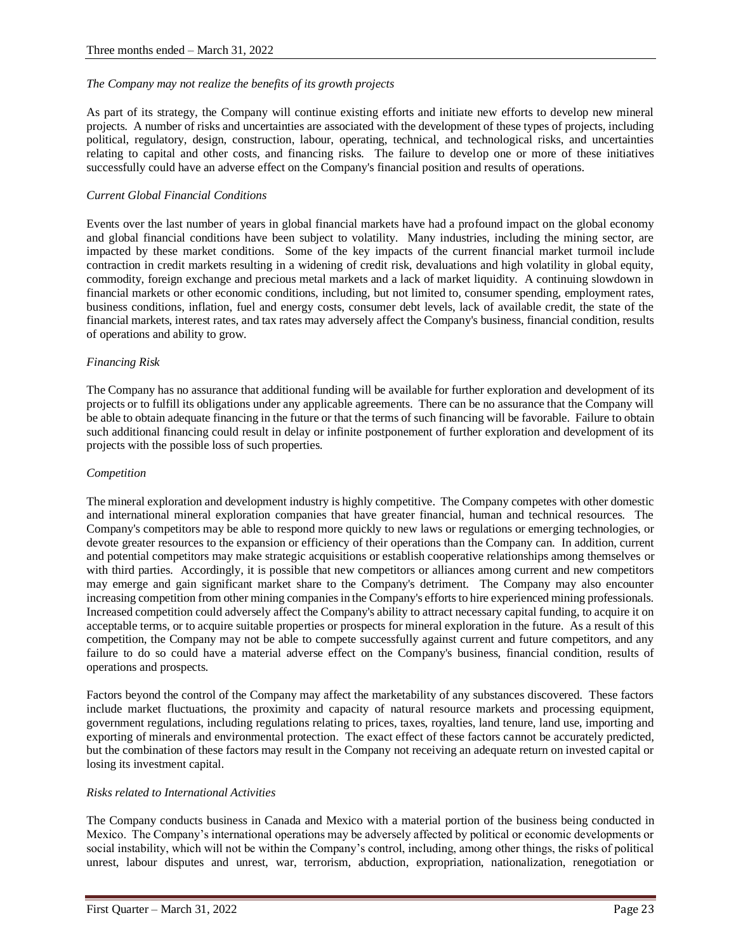### *The Company may not realize the benefits of its growth projects*

As part of its strategy, the Company will continue existing efforts and initiate new efforts to develop new mineral projects. A number of risks and uncertainties are associated with the development of these types of projects, including political, regulatory, design, construction, labour, operating, technical, and technological risks, and uncertainties relating to capital and other costs, and financing risks. The failure to develop one or more of these initiatives successfully could have an adverse effect on the Company's financial position and results of operations.

### *Current Global Financial Conditions*

Events over the last number of years in global financial markets have had a profound impact on the global economy and global financial conditions have been subject to volatility. Many industries, including the mining sector, are impacted by these market conditions. Some of the key impacts of the current financial market turmoil include contraction in credit markets resulting in a widening of credit risk, devaluations and high volatility in global equity, commodity, foreign exchange and precious metal markets and a lack of market liquidity. A continuing slowdown in financial markets or other economic conditions, including, but not limited to, consumer spending, employment rates, business conditions, inflation, fuel and energy costs, consumer debt levels, lack of available credit, the state of the financial markets, interest rates, and tax rates may adversely affect the Company's business, financial condition, results of operations and ability to grow.

### *Financing Risk*

The Company has no assurance that additional funding will be available for further exploration and development of its projects or to fulfill its obligations under any applicable agreements. There can be no assurance that the Company will be able to obtain adequate financing in the future or that the terms of such financing will be favorable. Failure to obtain such additional financing could result in delay or infinite postponement of further exploration and development of its projects with the possible loss of such properties.

#### *Competition*

The mineral exploration and development industry is highly competitive. The Company competes with other domestic and international mineral exploration companies that have greater financial, human and technical resources. The Company's competitors may be able to respond more quickly to new laws or regulations or emerging technologies, or devote greater resources to the expansion or efficiency of their operations than the Company can. In addition, current and potential competitors may make strategic acquisitions or establish cooperative relationships among themselves or with third parties. Accordingly, it is possible that new competitors or alliances among current and new competitors may emerge and gain significant market share to the Company's detriment. The Company may also encounter increasing competition from other mining companies in the Company's efforts to hire experienced mining professionals. Increased competition could adversely affect the Company's ability to attract necessary capital funding, to acquire it on acceptable terms, or to acquire suitable properties or prospects for mineral exploration in the future. As a result of this competition, the Company may not be able to compete successfully against current and future competitors, and any failure to do so could have a material adverse effect on the Company's business, financial condition, results of operations and prospects.

Factors beyond the control of the Company may affect the marketability of any substances discovered. These factors include market fluctuations, the proximity and capacity of natural resource markets and processing equipment, government regulations, including regulations relating to prices, taxes, royalties, land tenure, land use, importing and exporting of minerals and environmental protection. The exact effect of these factors cannot be accurately predicted, but the combination of these factors may result in the Company not receiving an adequate return on invested capital or losing its investment capital.

# *Risks related to International Activities*

The Company conducts business in Canada and Mexico with a material portion of the business being conducted in Mexico. The Company's international operations may be adversely affected by political or economic developments or social instability, which will not be within the Company's control, including, among other things, the risks of political unrest, labour disputes and unrest, war, terrorism, abduction, expropriation, nationalization, renegotiation or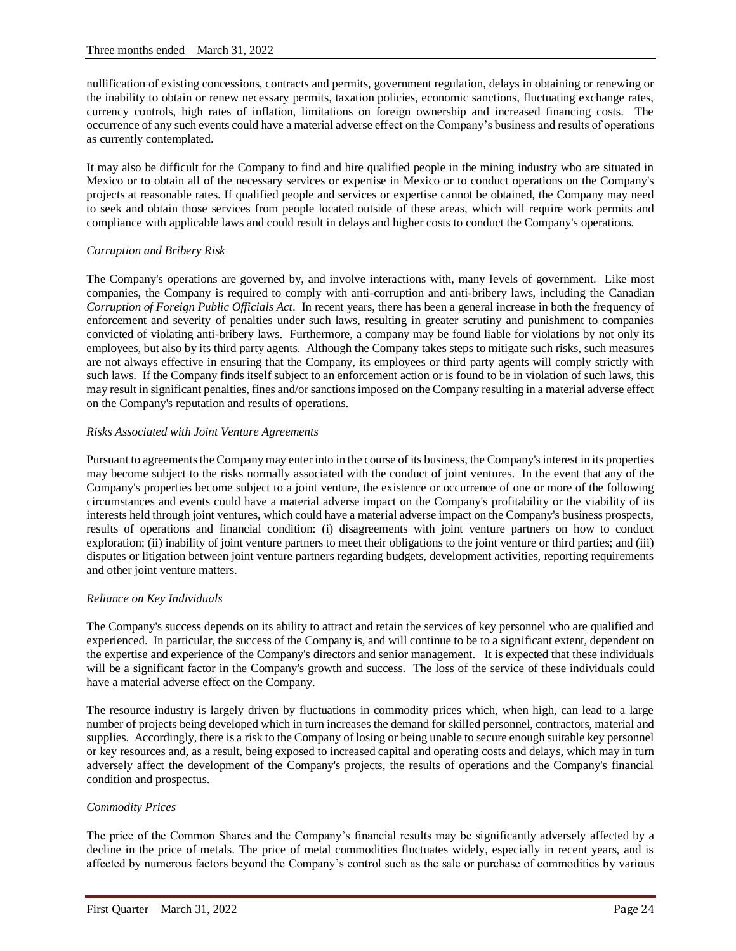nullification of existing concessions, contracts and permits, government regulation, delays in obtaining or renewing or the inability to obtain or renew necessary permits, taxation policies, economic sanctions, fluctuating exchange rates, currency controls, high rates of inflation, limitations on foreign ownership and increased financing costs. The occurrence of any such events could have a material adverse effect on the Company's business and results of operations as currently contemplated.

It may also be difficult for the Company to find and hire qualified people in the mining industry who are situated in Mexico or to obtain all of the necessary services or expertise in Mexico or to conduct operations on the Company's projects at reasonable rates. If qualified people and services or expertise cannot be obtained, the Company may need to seek and obtain those services from people located outside of these areas, which will require work permits and compliance with applicable laws and could result in delays and higher costs to conduct the Company's operations.

# *Corruption and Bribery Risk*

The Company's operations are governed by, and involve interactions with, many levels of government. Like most companies, the Company is required to comply with anti-corruption and anti-bribery laws, including the Canadian *Corruption of Foreign Public Officials Act*. In recent years, there has been a general increase in both the frequency of enforcement and severity of penalties under such laws, resulting in greater scrutiny and punishment to companies convicted of violating anti-bribery laws. Furthermore, a company may be found liable for violations by not only its employees, but also by its third party agents. Although the Company takes steps to mitigate such risks, such measures are not always effective in ensuring that the Company, its employees or third party agents will comply strictly with such laws. If the Company finds itself subject to an enforcement action or is found to be in violation of such laws, this may result in significant penalties, fines and/or sanctions imposed on the Company resulting in a material adverse effect on the Company's reputation and results of operations.

# *Risks Associated with Joint Venture Agreements*

Pursuant to agreements the Company may enter into in the course of its business, the Company's interest in its properties may become subject to the risks normally associated with the conduct of joint ventures. In the event that any of the Company's properties become subject to a joint venture, the existence or occurrence of one or more of the following circumstances and events could have a material adverse impact on the Company's profitability or the viability of its interests held through joint ventures, which could have a material adverse impact on the Company's business prospects, results of operations and financial condition: (i) disagreements with joint venture partners on how to conduct exploration; (ii) inability of joint venture partners to meet their obligations to the joint venture or third parties; and (iii) disputes or litigation between joint venture partners regarding budgets, development activities, reporting requirements and other joint venture matters.

# *Reliance on Key Individuals*

The Company's success depends on its ability to attract and retain the services of key personnel who are qualified and experienced. In particular, the success of the Company is, and will continue to be to a significant extent, dependent on the expertise and experience of the Company's directors and senior management. It is expected that these individuals will be a significant factor in the Company's growth and success. The loss of the service of these individuals could have a material adverse effect on the Company.

The resource industry is largely driven by fluctuations in commodity prices which, when high, can lead to a large number of projects being developed which in turn increases the demand for skilled personnel, contractors, material and supplies. Accordingly, there is a risk to the Company of losing or being unable to secure enough suitable key personnel or key resources and, as a result, being exposed to increased capital and operating costs and delays, which may in turn adversely affect the development of the Company's projects, the results of operations and the Company's financial condition and prospectus.

# *Commodity Prices*

The price of the Common Shares and the Company's financial results may be significantly adversely affected by a decline in the price of metals. The price of metal commodities fluctuates widely, especially in recent years, and is affected by numerous factors beyond the Company's control such as the sale or purchase of commodities by various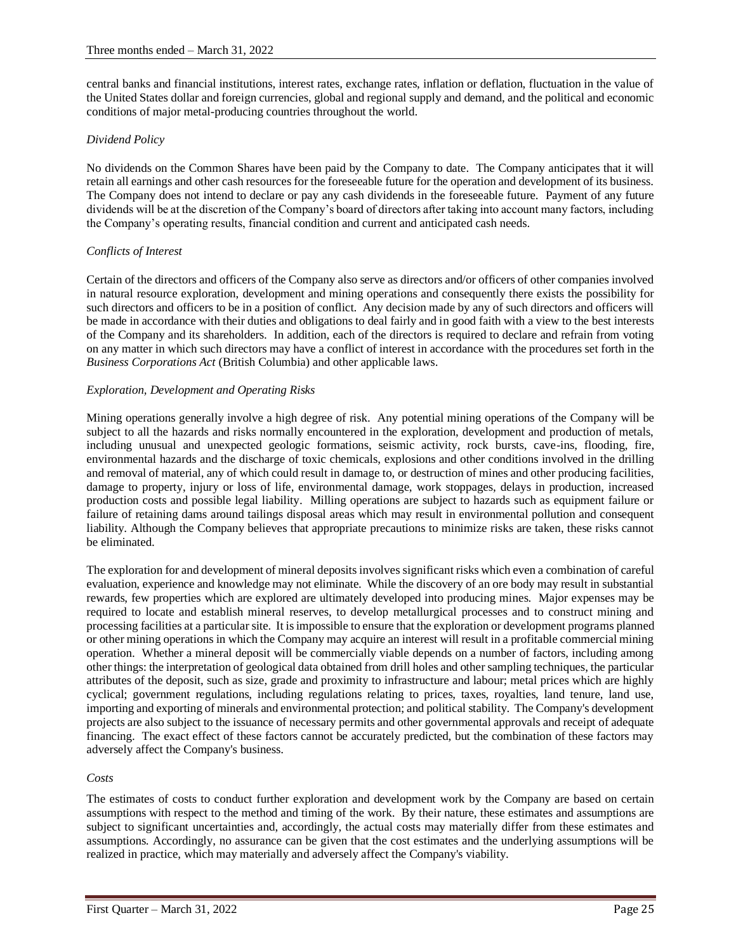central banks and financial institutions, interest rates, exchange rates, inflation or deflation, fluctuation in the value of the United States dollar and foreign currencies, global and regional supply and demand, and the political and economic conditions of major metal-producing countries throughout the world.

# *Dividend Policy*

No dividends on the Common Shares have been paid by the Company to date. The Company anticipates that it will retain all earnings and other cash resources for the foreseeable future for the operation and development of its business. The Company does not intend to declare or pay any cash dividends in the foreseeable future. Payment of any future dividends will be at the discretion of the Company's board of directors after taking into account many factors, including the Company's operating results, financial condition and current and anticipated cash needs.

# *Conflicts of Interest*

Certain of the directors and officers of the Company also serve as directors and/or officers of other companies involved in natural resource exploration, development and mining operations and consequently there exists the possibility for such directors and officers to be in a position of conflict. Any decision made by any of such directors and officers will be made in accordance with their duties and obligations to deal fairly and in good faith with a view to the best interests of the Company and its shareholders. In addition, each of the directors is required to declare and refrain from voting on any matter in which such directors may have a conflict of interest in accordance with the procedures set forth in the *Business Corporations Act* (British Columbia) and other applicable laws.

# *Exploration, Development and Operating Risks*

Mining operations generally involve a high degree of risk. Any potential mining operations of the Company will be subject to all the hazards and risks normally encountered in the exploration, development and production of metals, including unusual and unexpected geologic formations, seismic activity, rock bursts, cave-ins, flooding, fire, environmental hazards and the discharge of toxic chemicals, explosions and other conditions involved in the drilling and removal of material, any of which could result in damage to, or destruction of mines and other producing facilities, damage to property, injury or loss of life, environmental damage, work stoppages, delays in production, increased production costs and possible legal liability. Milling operations are subject to hazards such as equipment failure or failure of retaining dams around tailings disposal areas which may result in environmental pollution and consequent liability. Although the Company believes that appropriate precautions to minimize risks are taken, these risks cannot be eliminated.

The exploration for and development of mineral deposits involves significant risks which even a combination of careful evaluation, experience and knowledge may not eliminate. While the discovery of an ore body may result in substantial rewards, few properties which are explored are ultimately developed into producing mines. Major expenses may be required to locate and establish mineral reserves, to develop metallurgical processes and to construct mining and processing facilities at a particular site. It is impossible to ensure that the exploration or development programs planned or other mining operations in which the Company may acquire an interest will result in a profitable commercial mining operation. Whether a mineral deposit will be commercially viable depends on a number of factors, including among other things: the interpretation of geological data obtained from drill holes and other sampling techniques, the particular attributes of the deposit, such as size, grade and proximity to infrastructure and labour; metal prices which are highly cyclical; government regulations, including regulations relating to prices, taxes, royalties, land tenure, land use, importing and exporting of minerals and environmental protection; and political stability. The Company's development projects are also subject to the issuance of necessary permits and other governmental approvals and receipt of adequate financing. The exact effect of these factors cannot be accurately predicted, but the combination of these factors may adversely affect the Company's business.

# *Costs*

The estimates of costs to conduct further exploration and development work by the Company are based on certain assumptions with respect to the method and timing of the work. By their nature, these estimates and assumptions are subject to significant uncertainties and, accordingly, the actual costs may materially differ from these estimates and assumptions. Accordingly, no assurance can be given that the cost estimates and the underlying assumptions will be realized in practice, which may materially and adversely affect the Company's viability.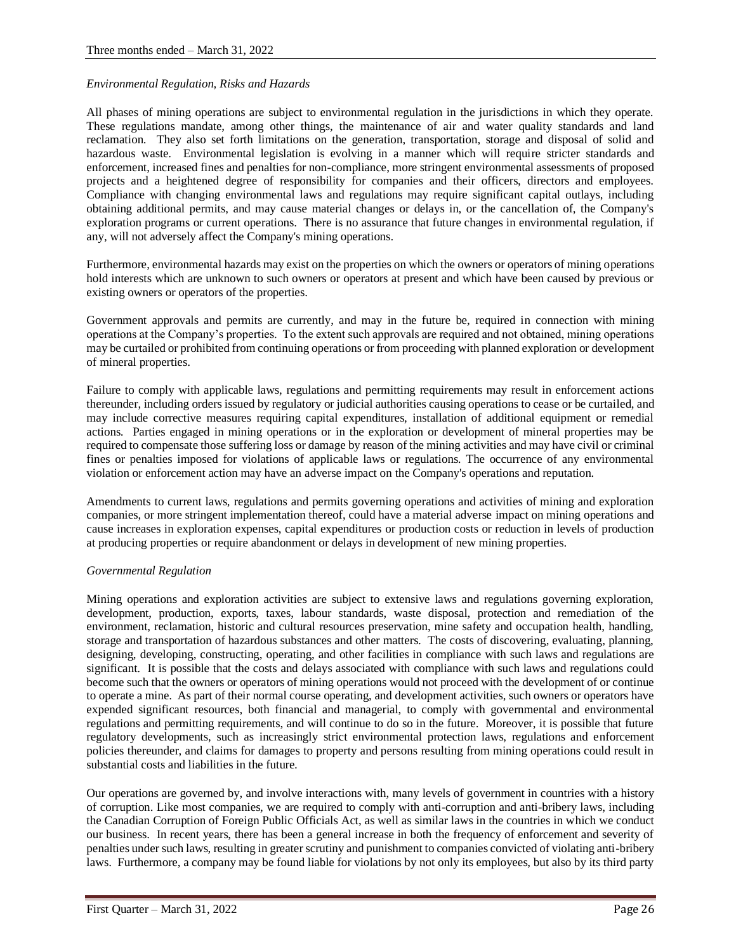### *Environmental Regulation, Risks and Hazards*

All phases of mining operations are subject to environmental regulation in the jurisdictions in which they operate. These regulations mandate, among other things, the maintenance of air and water quality standards and land reclamation. They also set forth limitations on the generation, transportation, storage and disposal of solid and hazardous waste. Environmental legislation is evolving in a manner which will require stricter standards and enforcement, increased fines and penalties for non-compliance, more stringent environmental assessments of proposed projects and a heightened degree of responsibility for companies and their officers, directors and employees. Compliance with changing environmental laws and regulations may require significant capital outlays, including obtaining additional permits, and may cause material changes or delays in, or the cancellation of, the Company's exploration programs or current operations. There is no assurance that future changes in environmental regulation, if any, will not adversely affect the Company's mining operations.

Furthermore, environmental hazards may exist on the properties on which the owners or operators of mining operations hold interests which are unknown to such owners or operators at present and which have been caused by previous or existing owners or operators of the properties.

Government approvals and permits are currently, and may in the future be, required in connection with mining operations at the Company's properties. To the extent such approvals are required and not obtained, mining operations may be curtailed or prohibited from continuing operations or from proceeding with planned exploration or development of mineral properties.

Failure to comply with applicable laws, regulations and permitting requirements may result in enforcement actions thereunder, including orders issued by regulatory or judicial authorities causing operations to cease or be curtailed, and may include corrective measures requiring capital expenditures, installation of additional equipment or remedial actions. Parties engaged in mining operations or in the exploration or development of mineral properties may be required to compensate those suffering loss or damage by reason of the mining activities and may have civil or criminal fines or penalties imposed for violations of applicable laws or regulations. The occurrence of any environmental violation or enforcement action may have an adverse impact on the Company's operations and reputation.

Amendments to current laws, regulations and permits governing operations and activities of mining and exploration companies, or more stringent implementation thereof, could have a material adverse impact on mining operations and cause increases in exploration expenses, capital expenditures or production costs or reduction in levels of production at producing properties or require abandonment or delays in development of new mining properties.

#### *Governmental Regulation*

Mining operations and exploration activities are subject to extensive laws and regulations governing exploration, development, production, exports, taxes, labour standards, waste disposal, protection and remediation of the environment, reclamation, historic and cultural resources preservation, mine safety and occupation health, handling, storage and transportation of hazardous substances and other matters. The costs of discovering, evaluating, planning, designing, developing, constructing, operating, and other facilities in compliance with such laws and regulations are significant. It is possible that the costs and delays associated with compliance with such laws and regulations could become such that the owners or operators of mining operations would not proceed with the development of or continue to operate a mine. As part of their normal course operating, and development activities, such owners or operators have expended significant resources, both financial and managerial, to comply with governmental and environmental regulations and permitting requirements, and will continue to do so in the future. Moreover, it is possible that future regulatory developments, such as increasingly strict environmental protection laws, regulations and enforcement policies thereunder, and claims for damages to property and persons resulting from mining operations could result in substantial costs and liabilities in the future.

Our operations are governed by, and involve interactions with, many levels of government in countries with a history of corruption. Like most companies, we are required to comply with anti-corruption and anti-bribery laws, including the Canadian Corruption of Foreign Public Officials Act, as well as similar laws in the countries in which we conduct our business. In recent years, there has been a general increase in both the frequency of enforcement and severity of penalties under such laws, resulting in greater scrutiny and punishment to companies convicted of violating anti-bribery laws. Furthermore, a company may be found liable for violations by not only its employees, but also by its third party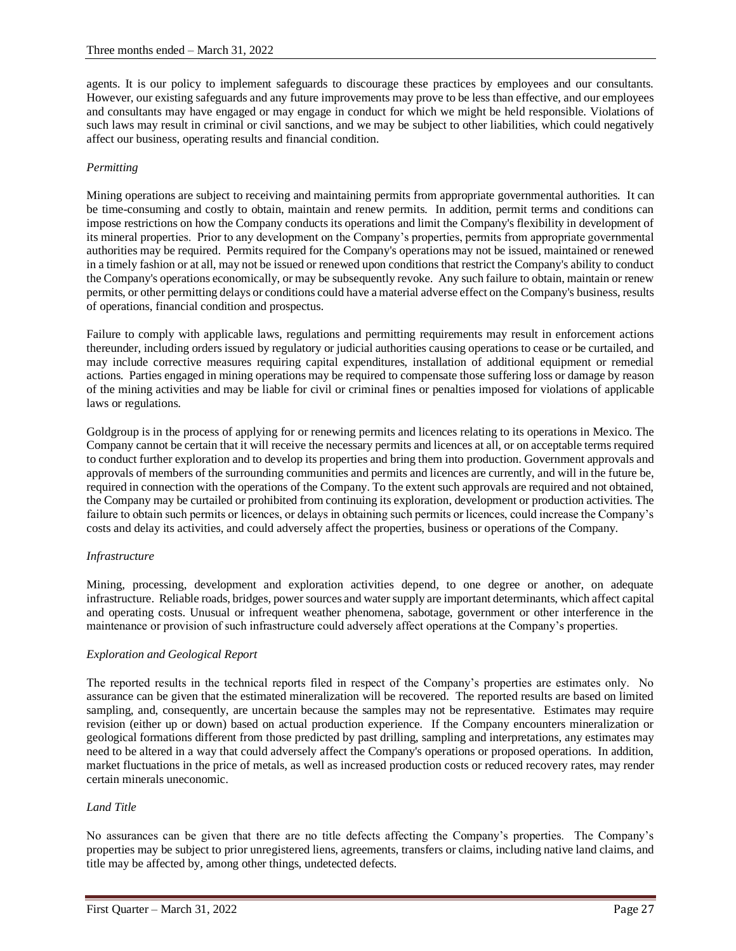agents. It is our policy to implement safeguards to discourage these practices by employees and our consultants. However, our existing safeguards and any future improvements may prove to be less than effective, and our employees and consultants may have engaged or may engage in conduct for which we might be held responsible. Violations of such laws may result in criminal or civil sanctions, and we may be subject to other liabilities, which could negatively affect our business, operating results and financial condition.

# *Permitting*

Mining operations are subject to receiving and maintaining permits from appropriate governmental authorities. It can be time-consuming and costly to obtain, maintain and renew permits. In addition, permit terms and conditions can impose restrictions on how the Company conducts its operations and limit the Company's flexibility in development of its mineral properties. Prior to any development on the Company's properties, permits from appropriate governmental authorities may be required. Permits required for the Company's operations may not be issued, maintained or renewed in a timely fashion or at all, may not be issued or renewed upon conditions that restrict the Company's ability to conduct the Company's operations economically, or may be subsequently revoke. Any such failure to obtain, maintain or renew permits, or other permitting delays or conditions could have a material adverse effect on the Company's business, results of operations, financial condition and prospectus.

Failure to comply with applicable laws, regulations and permitting requirements may result in enforcement actions thereunder, including orders issued by regulatory or judicial authorities causing operations to cease or be curtailed, and may include corrective measures requiring capital expenditures, installation of additional equipment or remedial actions. Parties engaged in mining operations may be required to compensate those suffering loss or damage by reason of the mining activities and may be liable for civil or criminal fines or penalties imposed for violations of applicable laws or regulations.

Goldgroup is in the process of applying for or renewing permits and licences relating to its operations in Mexico. The Company cannot be certain that it will receive the necessary permits and licences at all, or on acceptable terms required to conduct further exploration and to develop its properties and bring them into production. Government approvals and approvals of members of the surrounding communities and permits and licences are currently, and will in the future be, required in connection with the operations of the Company. To the extent such approvals are required and not obtained, the Company may be curtailed or prohibited from continuing its exploration, development or production activities. The failure to obtain such permits or licences, or delays in obtaining such permits or licences, could increase the Company's costs and delay its activities, and could adversely affect the properties, business or operations of the Company.

# *Infrastructure*

Mining, processing, development and exploration activities depend, to one degree or another, on adequate infrastructure. Reliable roads, bridges, power sources and water supply are important determinants, which affect capital and operating costs. Unusual or infrequent weather phenomena, sabotage, government or other interference in the maintenance or provision of such infrastructure could adversely affect operations at the Company's properties.

# *Exploration and Geological Report*

The reported results in the technical reports filed in respect of the Company's properties are estimates only. No assurance can be given that the estimated mineralization will be recovered. The reported results are based on limited sampling, and, consequently, are uncertain because the samples may not be representative. Estimates may require revision (either up or down) based on actual production experience. If the Company encounters mineralization or geological formations different from those predicted by past drilling, sampling and interpretations, any estimates may need to be altered in a way that could adversely affect the Company's operations or proposed operations. In addition, market fluctuations in the price of metals, as well as increased production costs or reduced recovery rates, may render certain minerals uneconomic.

# *Land Title*

No assurances can be given that there are no title defects affecting the Company's properties. The Company's properties may be subject to prior unregistered liens, agreements, transfers or claims, including native land claims, and title may be affected by, among other things, undetected defects.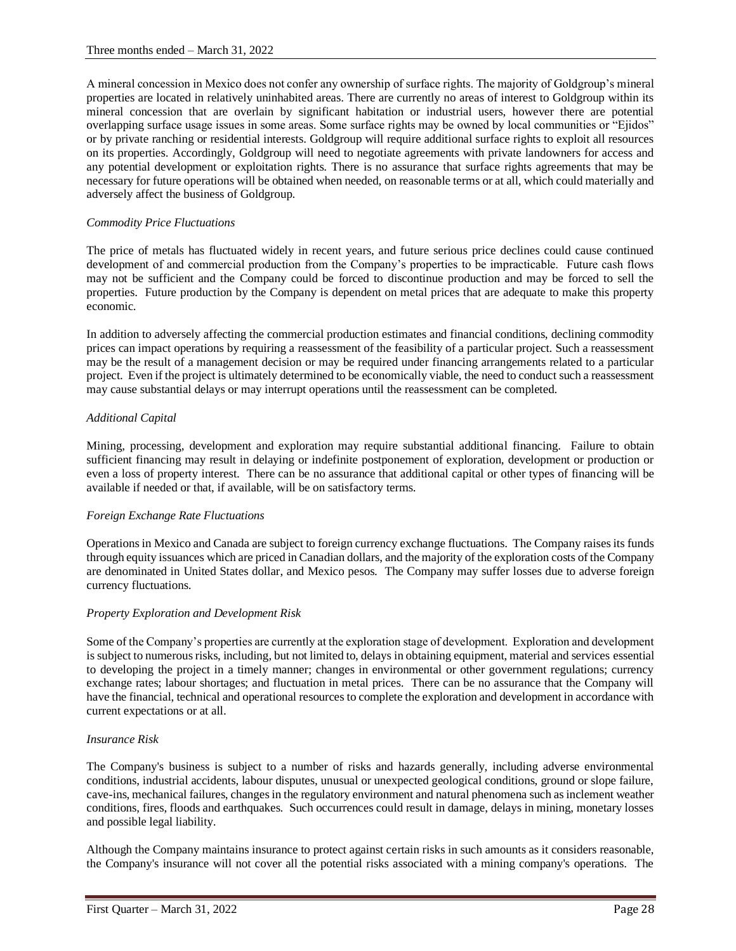A mineral concession in Mexico does not confer any ownership of surface rights. The majority of Goldgroup's mineral properties are located in relatively uninhabited areas. There are currently no areas of interest to Goldgroup within its mineral concession that are overlain by significant habitation or industrial users, however there are potential overlapping surface usage issues in some areas. Some surface rights may be owned by local communities or "Ejidos" or by private ranching or residential interests. Goldgroup will require additional surface rights to exploit all resources on its properties. Accordingly, Goldgroup will need to negotiate agreements with private landowners for access and any potential development or exploitation rights. There is no assurance that surface rights agreements that may be necessary for future operations will be obtained when needed, on reasonable terms or at all, which could materially and adversely affect the business of Goldgroup.

# *Commodity Price Fluctuations*

The price of metals has fluctuated widely in recent years, and future serious price declines could cause continued development of and commercial production from the Company's properties to be impracticable. Future cash flows may not be sufficient and the Company could be forced to discontinue production and may be forced to sell the properties. Future production by the Company is dependent on metal prices that are adequate to make this property economic.

In addition to adversely affecting the commercial production estimates and financial conditions, declining commodity prices can impact operations by requiring a reassessment of the feasibility of a particular project. Such a reassessment may be the result of a management decision or may be required under financing arrangements related to a particular project. Even if the project is ultimately determined to be economically viable, the need to conduct such a reassessment may cause substantial delays or may interrupt operations until the reassessment can be completed.

# *Additional Capital*

Mining, processing, development and exploration may require substantial additional financing. Failure to obtain sufficient financing may result in delaying or indefinite postponement of exploration, development or production or even a loss of property interest. There can be no assurance that additional capital or other types of financing will be available if needed or that, if available, will be on satisfactory terms.

# *Foreign Exchange Rate Fluctuations*

Operations in Mexico and Canada are subject to foreign currency exchange fluctuations. The Company raises its funds through equity issuances which are priced in Canadian dollars, and the majority of the exploration costs of the Company are denominated in United States dollar, and Mexico pesos. The Company may suffer losses due to adverse foreign currency fluctuations.

# *Property Exploration and Development Risk*

Some of the Company's properties are currently at the exploration stage of development. Exploration and development is subject to numerous risks, including, but not limited to, delays in obtaining equipment, material and services essential to developing the project in a timely manner; changes in environmental or other government regulations; currency exchange rates; labour shortages; and fluctuation in metal prices. There can be no assurance that the Company will have the financial, technical and operational resources to complete the exploration and development in accordance with current expectations or at all.

# *Insurance Risk*

The Company's business is subject to a number of risks and hazards generally, including adverse environmental conditions, industrial accidents, labour disputes, unusual or unexpected geological conditions, ground or slope failure, cave-ins, mechanical failures, changes in the regulatory environment and natural phenomena such as inclement weather conditions, fires, floods and earthquakes. Such occurrences could result in damage, delays in mining, monetary losses and possible legal liability.

Although the Company maintains insurance to protect against certain risks in such amounts as it considers reasonable, the Company's insurance will not cover all the potential risks associated with a mining company's operations. The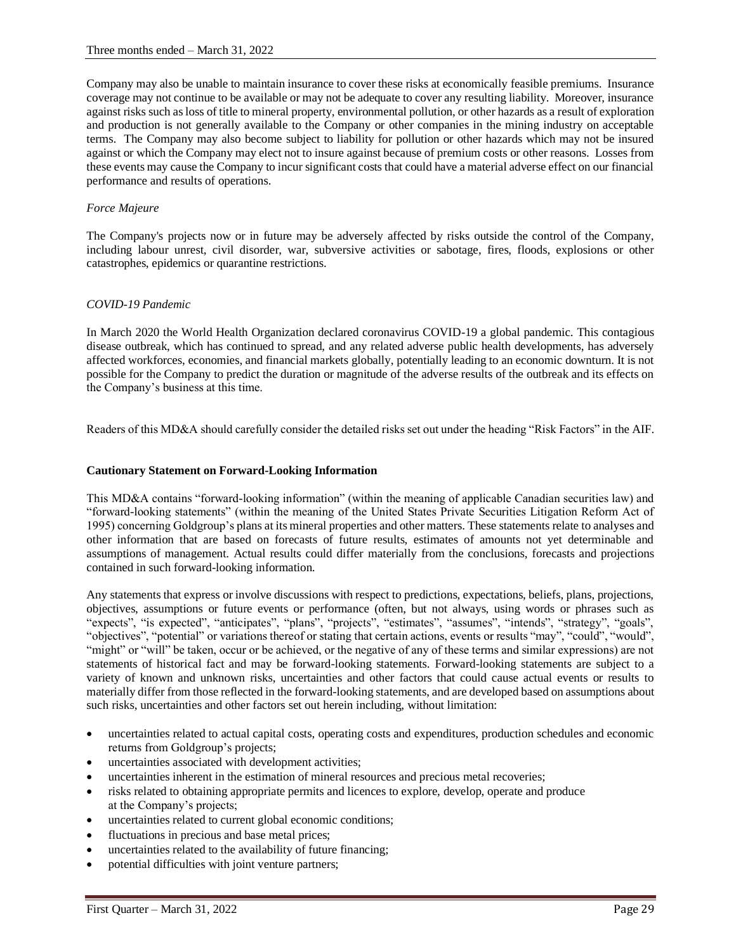Company may also be unable to maintain insurance to cover these risks at economically feasible premiums. Insurance coverage may not continue to be available or may not be adequate to cover any resulting liability. Moreover, insurance against risks such as loss of title to mineral property, environmental pollution, or other hazards as a result of exploration and production is not generally available to the Company or other companies in the mining industry on acceptable terms. The Company may also become subject to liability for pollution or other hazards which may not be insured against or which the Company may elect not to insure against because of premium costs or other reasons. Losses from these events may cause the Company to incur significant costs that could have a material adverse effect on our financial performance and results of operations.

# *Force Majeure*

The Company's projects now or in future may be adversely affected by risks outside the control of the Company, including labour unrest, civil disorder, war, subversive activities or sabotage, fires, floods, explosions or other catastrophes, epidemics or quarantine restrictions.

# *COVID-19 Pandemic*

In March 2020 the World Health Organization declared coronavirus COVID-19 a global pandemic. This contagious disease outbreak, which has continued to spread, and any related adverse public health developments, has adversely affected workforces, economies, and financial markets globally, potentially leading to an economic downturn. It is not possible for the Company to predict the duration or magnitude of the adverse results of the outbreak and its effects on the Company's business at this time.

Readers of this MD&A should carefully consider the detailed risks set out under the heading "Risk Factors" in the AIF.

### **Cautionary Statement on Forward-Looking Information**

This MD&A contains "forward-looking information" (within the meaning of applicable Canadian securities law) and "forward-looking statements" (within the meaning of the United States Private Securities Litigation Reform Act of 1995) concerning Goldgroup's plans at its mineral properties and other matters. These statements relate to analyses and other information that are based on forecasts of future results, estimates of amounts not yet determinable and assumptions of management. Actual results could differ materially from the conclusions, forecasts and projections contained in such forward-looking information.

Any statements that express or involve discussions with respect to predictions, expectations, beliefs, plans, projections, objectives, assumptions or future events or performance (often, but not always, using words or phrases such as "expects", "is expected", "anticipates", "plans", "projects", "estimates", "assumes", "intends", "strategy", "goals", "objectives", "potential" or variations thereof or stating that certain actions, events or results "may", "could", "would", "might" or "will" be taken, occur or be achieved, or the negative of any of these terms and similar expressions) are not statements of historical fact and may be forward-looking statements. Forward-looking statements are subject to a variety of known and unknown risks, uncertainties and other factors that could cause actual events or results to materially differ from those reflected in the forward-looking statements, and are developed based on assumptions about such risks, uncertainties and other factors set out herein including, without limitation:

- uncertainties related to actual capital costs, operating costs and expenditures, production schedules and economic returns from Goldgroup's projects;
- uncertainties associated with development activities;
- uncertainties inherent in the estimation of mineral resources and precious metal recoveries;
- risks related to obtaining appropriate permits and licences to explore, develop, operate and produce at the Company's projects;
- uncertainties related to current global economic conditions;
- fluctuations in precious and base metal prices;
- uncertainties related to the availability of future financing;
- potential difficulties with joint venture partners;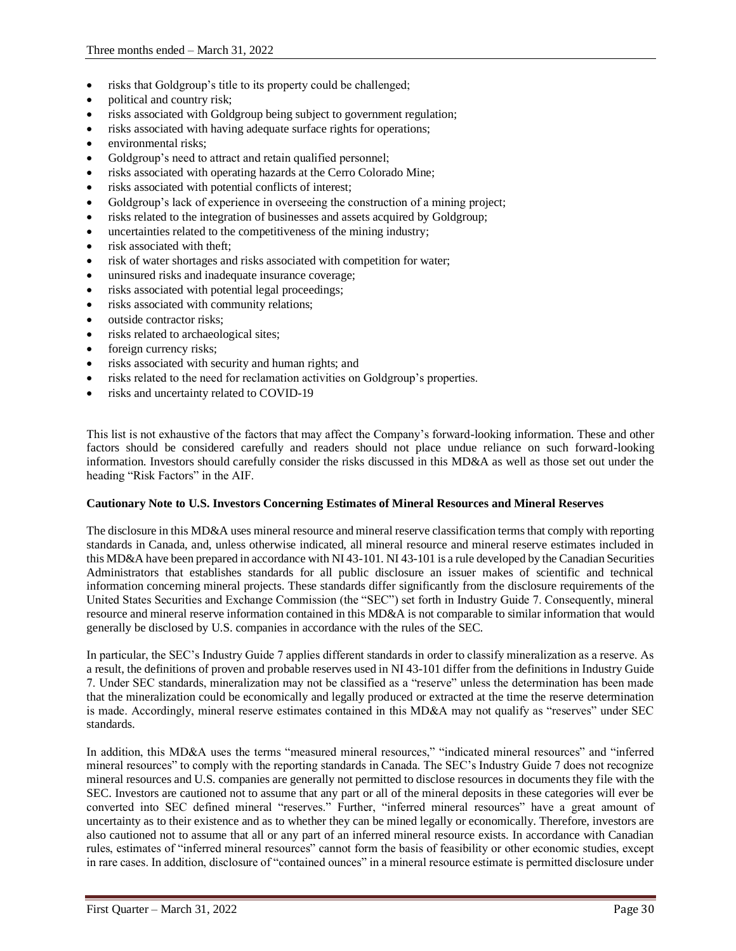- risks that Goldgroup's title to its property could be challenged;
- political and country risk;
- risks associated with Goldgroup being subject to government regulation;
- risks associated with having adequate surface rights for operations;
- environmental risks;
- Goldgroup's need to attract and retain qualified personnel;
- risks associated with operating hazards at the Cerro Colorado Mine;
- risks associated with potential conflicts of interest;
- Goldgroup's lack of experience in overseeing the construction of a mining project;
- risks related to the integration of businesses and assets acquired by Goldgroup;
- uncertainties related to the competitiveness of the mining industry;
- risk associated with theft:
- risk of water shortages and risks associated with competition for water;
- uninsured risks and inadequate insurance coverage;
- risks associated with potential legal proceedings;
- risks associated with community relations;
- outside contractor risks;
- risks related to archaeological sites;
- foreign currency risks;
- risks associated with security and human rights; and
- risks related to the need for reclamation activities on Goldgroup's properties.
- risks and uncertainty related to COVID-19

This list is not exhaustive of the factors that may affect the Company's forward-looking information. These and other factors should be considered carefully and readers should not place undue reliance on such forward-looking information. Investors should carefully consider the risks discussed in this MD&A as well as those set out under the heading "Risk Factors" in the AIF.

# **Cautionary Note to U.S. Investors Concerning Estimates of Mineral Resources and Mineral Reserves**

The disclosure in this MD&A uses mineral resource and mineral reserve classification terms that comply with reporting standards in Canada, and, unless otherwise indicated, all mineral resource and mineral reserve estimates included in this MD&A have been prepared in accordance with NI 43-101. NI 43-101 is a rule developed by the Canadian Securities Administrators that establishes standards for all public disclosure an issuer makes of scientific and technical information concerning mineral projects. These standards differ significantly from the disclosure requirements of the United States Securities and Exchange Commission (the "SEC") set forth in Industry Guide 7. Consequently, mineral resource and mineral reserve information contained in this MD&A is not comparable to similar information that would generally be disclosed by U.S. companies in accordance with the rules of the SEC.

In particular, the SEC's Industry Guide 7 applies different standards in order to classify mineralization as a reserve. As a result, the definitions of proven and probable reserves used in NI 43-101 differ from the definitions in Industry Guide 7. Under SEC standards, mineralization may not be classified as a "reserve" unless the determination has been made that the mineralization could be economically and legally produced or extracted at the time the reserve determination is made. Accordingly, mineral reserve estimates contained in this MD&A may not qualify as "reserves" under SEC standards.

In addition, this MD&A uses the terms "measured mineral resources," "indicated mineral resources" and "inferred mineral resources" to comply with the reporting standards in Canada. The SEC's Industry Guide 7 does not recognize mineral resources and U.S. companies are generally not permitted to disclose resources in documents they file with the SEC. Investors are cautioned not to assume that any part or all of the mineral deposits in these categories will ever be converted into SEC defined mineral "reserves." Further, "inferred mineral resources" have a great amount of uncertainty as to their existence and as to whether they can be mined legally or economically. Therefore, investors are also cautioned not to assume that all or any part of an inferred mineral resource exists. In accordance with Canadian rules, estimates of "inferred mineral resources" cannot form the basis of feasibility or other economic studies, except in rare cases. In addition, disclosure of "contained ounces" in a mineral resource estimate is permitted disclosure under